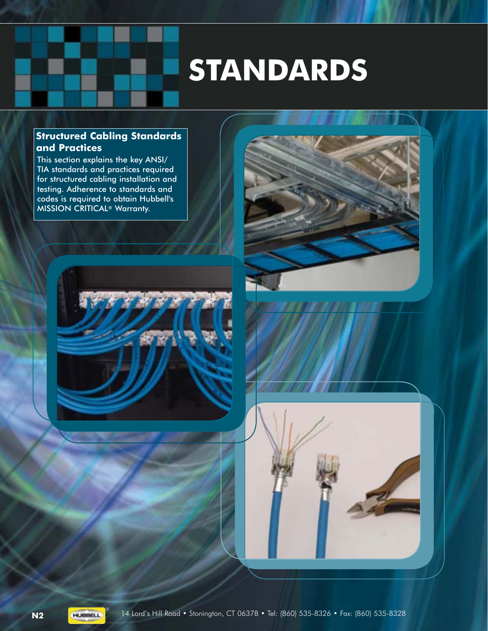# **STANDARDS**

### **Structured Cabling Standards and Practices**

This section explains the key ANSI/ TIA standards and practices required for structured cabling installation and testing. Adherence to standards and codes is required to obtain Hubbell's MISSION CRITICAL® Warranty.





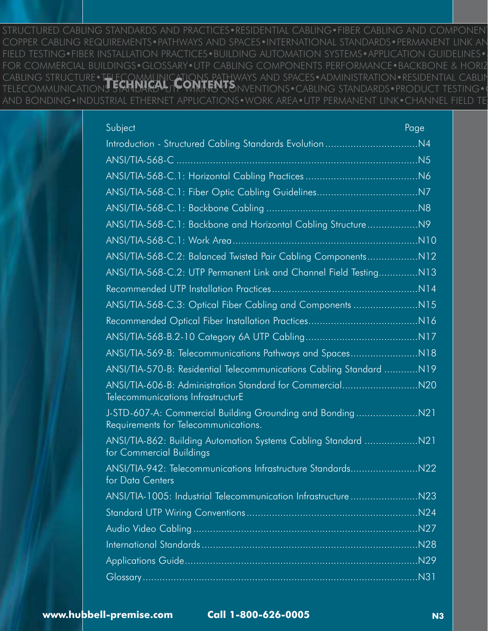STRUCTURED CABLING STANDARDS AND PRACTICES•RESIDENTIAL CABLING•FIBER CABLING AND COMPONENT COPPER CABLING REQUIREMENTS•PATHWAYS AND SPACES•INTERNATIONAL STANDARDS•PERMANENT LINK AN FIELD TESTING•FIBER INSTALLATION PRACTICES•BUILDING AUTOMATION SYSTEMS•APPLICATION GUIDELINES• FOR COMMERCIAL BUILDINGS•GLOSSARY•UTP CABLING COMPONENTS PERFORMANCE•BACKBONE & HORIZ CABLING STRUCTURE•TELECOMMUNICATIONS PATHWAYS AND SPACES•ADMINISTRATION•RESIDENTIAL CABLIN **TELECOMMUNICATIONS STANDARD+UTP WIRING CONVENTIONS•CABLING STANDARDS•PRODUCT TESTING•**<br>TELECOMMUNICATIONS STANDARD+UTP WIRING CONVENTIONS•CABLING STANDARDS•PRODUCT TESTING• AND BONDING•INDUSTRIAL ETHERNET APPLICATIONS•WORK AREA•UTP PERMANENT LINK•CHANNEL FIELD TES

| Subject                                                                                        | Page |
|------------------------------------------------------------------------------------------------|------|
| Introduction - Structured Cabling Standards Evolution                                          | .N4  |
|                                                                                                |      |
|                                                                                                |      |
|                                                                                                |      |
|                                                                                                |      |
| ANSI/TIA-568-C.1: Backbone and Horizontal Cabling StructureN9                                  |      |
|                                                                                                |      |
| ANSI/TIA-568-C.2: Balanced Twisted Pair Cabling ComponentsN12                                  |      |
| ANSI/TIA-568-C.2: UTP Permanent Link and Channel Field Testing                                 | .N13 |
|                                                                                                |      |
|                                                                                                |      |
|                                                                                                | N16  |
|                                                                                                |      |
|                                                                                                |      |
| ANSI/TIA-570-B: Residential Telecommunications Cabling Standard                                | .N19 |
| ANSI/TIA-606-B: Administration Standard for Commercial<br>Telecommunications InfrastructurE    | .N20 |
| J-STD-607-A: Commercial Building Grounding and Bonding<br>Requirements for Telecommunications. | N21  |
| for Commercial Buildings                                                                       |      |
| ANSI/TIA-942: Telecommunications Infrastructure Standards<br>for Data Centers                  | .N22 |
| ANSI/TIA-1005: Industrial Telecommunication Infrastructure                                     | .N23 |
|                                                                                                |      |
|                                                                                                | .N27 |
|                                                                                                |      |
|                                                                                                | .N29 |
|                                                                                                |      |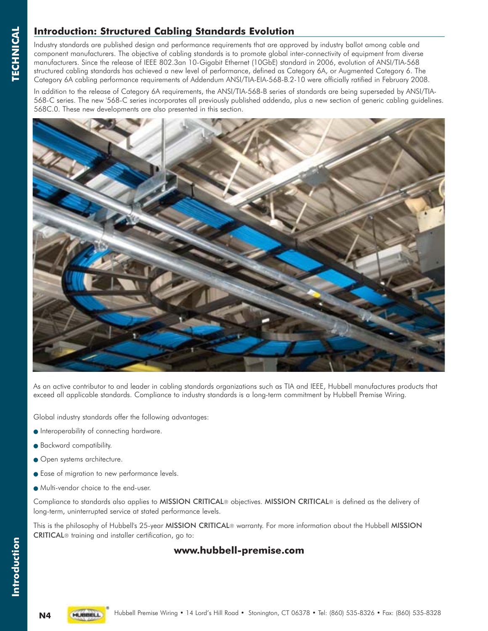### **Introduction: Structured Cabling Standards Evolution**

Industry standards are published design and performance requirements that are approved by industry ballot among cable and component manufacturers. The objective of cabling standards is to promote global inter-connectivity of equipment from diverse manufacturers. Since the release of IEEE 802.3an 10-Gigabit Ethernet (10GbE) standard in 2006, evolution of ANSI/TIA-568 structured cabling standards has achieved a new level of performance, defined as Category 6A, or Augmented Category 6. The Category 6A cabling performance requirements of Addendum ANSI/TIA-EIA-568-B.2-10 were officially ratified in February 2008.

In addition to the release of Category 6A requirements, the ANSI/TIA-568-B series of standards are being superseded by ANSI/TIA-568-C series. The new '568-C series incorporates all previously published addenda, plus a new section of generic cabling guidelines. 568C.0. These new developments are also presented in this section.



As an active contributor to and leader in cabling standards organizations such as TIA and IEEE, Hubbell manufactures products that exceed all applicable standards. Compliance to industry standards is a long-term commitment by Hubbell Premise Wiring.

Global industry standards offer the following advantages:

- Interoperability of connecting hardware.
- Backward compatibility.
- Open systems architecture.
- Ease of migration to new performance levels.
- Multi-vendor choice to the end-user.

Compliance to standards also applies to MISSION CRITICAL® objectives. MISSION CRITICAL® is defined as the delivery of long-term, uninterrupted service at stated performance levels.

This is the philosophy of Hubbell's 25-year MISSION CRITICAL® warranty. For more information about the Hubbell MISSION CRITICAL® training and installer certification, go to:

### **www.hubbell-premise.com**

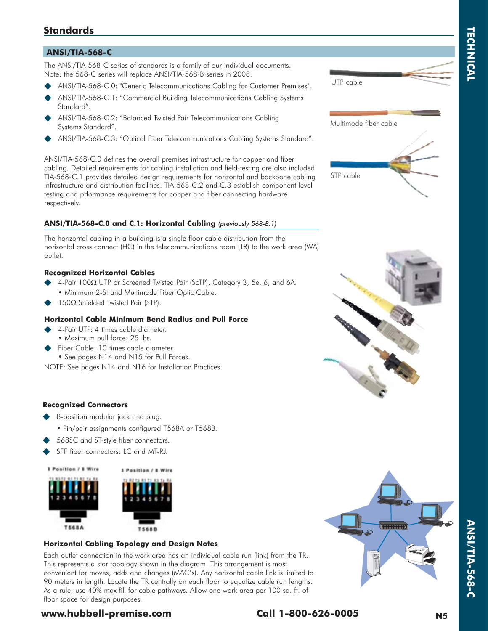# **TECHNICAL TECHNICAL**

### **Standards**

#### **ANSI/TIA-568-C**

The ANSI/TIA-568-C series of standards is a family of our individual documents. Note: the 568-C series will replace ANSI/TIA-568-B series in 2008.

- ANSI/TIA-568-C.0: "Generic Telecommunications Cabling for Customer Premises".
- ANSI/TIA-568-C.1: "Commercial Building Telecommunications Cabling Systems Standard".
- ANSI/TIA-568-C.2: "Balanced Twisted Pair Telecommunications Cabling Systems Standard".
- ANSI/TIA-568-C.3: "Optical Fiber Telecommunications Cabling Systems Standard".

ANSI/TIA-568-C.0 defines the overall premises infrastructure for copper and fiber cabling. Detailed requirements for cabling installation and field-testing are also included. TIA-568-C.1 provides detailed design requirements for horizontal and backbone cabling infrastructure and distribution facilities. TIA-568-C.2 and C.3 establish component level testing and prformance requirements for copper and fiber connecting hardware respectively.

#### **ANSI/TIA-568-C.0 and C.1: Horizontal Cabling** *(previously 568-B.1)*

The horizontal cabling in a building is a single floor cable distribution from the horizontal cross connect (HC) in the telecommunications room (TR) to the work area (WA) outlet.

#### **Recognized Horizontal Cables**

- $\blacklozenge$  4-Pair 100 $\Omega$  UTP or Screened Twisted Pair (ScTP), Category 3, 5e, 6, and 6A. • Minimum 2-Strand Multimode Fiber Optic Cable.
- $\blacklozenge$  150 $\Omega$  Shielded Twisted Pair (STP).

#### **Horizontal Cable Minimum Bend Radius and Pull Force**

- 4-Pair UTP: 4 times cable diameter. • Maximum pull force: 25 lbs.
- Fiber Cable: 10 times cable diameter. • See pages N14 and N15 for Pull Forces.

NOTE: See pages N14 and N16 for Installation Practices.

#### **Recognized Connectors**

- 8-position modular jack and plug.
	- Pin/pair assignments configured T568A or T568B.
- 568SC and ST-style fiber connectors.
- SFF fiber connectors: LC and MT-RJ.



#### **Horizontal Cabling Topology and Design Notes**

Each outlet connection in the work area has an individual cable run (link) from the TR. This represents a star topology shown in the diagram. This arrangement is most convenient for moves, adds and changes (MAC's). Any horizontal cable link is limited to 90 meters in length. Locate the TR centrally on each floor to equalize cable run lengths. As a rule, use 40% max fill for cable pathways. Allow one work area per 100 sq. ft. of floor space for design purposes.

### **www.hubbell-premise.com Call 1-800-626-0005 N5**



**ANSI/TIA-568-C**

**ANSI/TIA-568-C** 





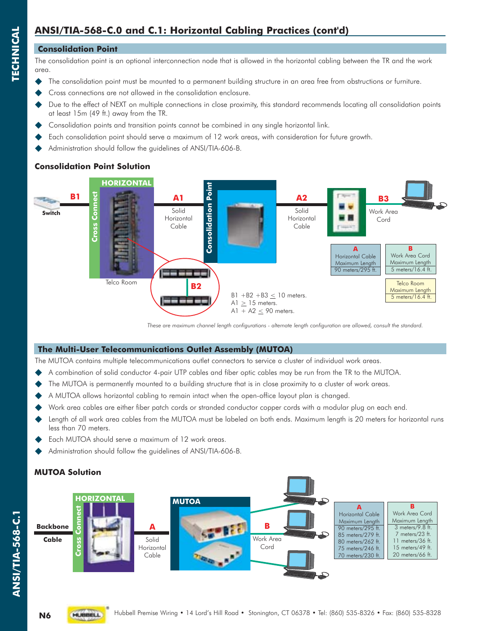# **ANSI/TIA-568-C.0 and C.1: Horizontal Cabling Practices (cont'd)**

#### **Consolidation Point**

The consolidation point is an optional interconnection node that is allowed in the horizontal cabling between the TR and the work area.

- The consolidation point must be mounted to a permanent building structure in an area free from obstructions or furniture.
- Cross connections are not allowed in the consolidation enclosure.
- Due to the effect of NEXT on multiple connections in close proximity, this standard recommends locating all consolidation points at least 15m (49 ft.) away from the TR.
- Consolidation points and transition points cannot be combined in any single horizontal link.
- Each consolidation point should serve a maximum of 12 work areas, with consideration for future growth.
- Administration should follow the guidelines of ANSI/TIA-606-B.

### **Consolidation Point Solution**



*These are maximum channel length configurations - alternate length configuration are allowed, consult the standard.*

#### **The Multi-User Telecommunications Outlet Assembly (MUTOA)**

The MUTOA contains multiple telecommunications outlet connectors to service a cluster of individual work areas.

- A combination of solid conductor 4-pair UTP cables and fiber optic cables may be run from the TR to the MUTOA.
- The MUTOA is permanently mounted to a building structure that is in close proximity to a cluster of work areas.
- A MUTOA allows horizontal cabling to remain intact when the open-office layout plan is changed.
- Work area cables are either fiber patch cords or stranded conductor copper cords with a modular plug on each end.
- Length of all work area cables from the MUTOA must be labeled on both ends. Maximum length is 20 meters for horizontal runs less than 70 meters.
- Each MUTOA should serve a maximum of 12 work areas.
- Administration should follow the guidelines of ANSI/TIA-606-B.

### **MUTOA Solution**



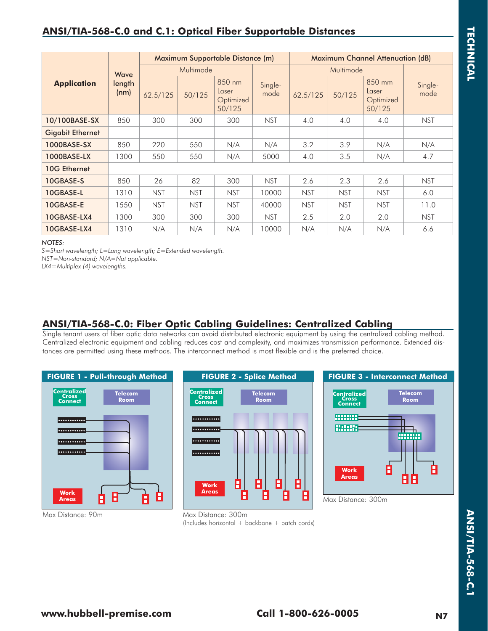## **ANSI/TIA-568-C.0 and C.1: Optical Fiber Supportable Distances**

|                         |                |            |            | Maximum Supportable Distance (m)       |                 | <b>Maximum Channel Attenuation (dB)</b> |            |                                        |                 |
|-------------------------|----------------|------------|------------|----------------------------------------|-----------------|-----------------------------------------|------------|----------------------------------------|-----------------|
| Wave                    |                |            | Multimode  |                                        |                 |                                         | Multimode  |                                        |                 |
| <b>Application</b>      | length<br>(nm) | 62.5/125   | 50/125     | 850 nm<br>Laser<br>Optimized<br>50/125 | Single-<br>mode | 62.5/125                                | 50/125     | 850 mm<br>Laser<br>Optimized<br>50/125 | Single-<br>mode |
| 10/100BASE-SX           | 850            | 300        | 300        | 300                                    | <b>NST</b>      | 4.0                                     | 4.0        | 4.0                                    | <b>NST</b>      |
| <b>Gigabit Ethernet</b> |                |            |            |                                        |                 |                                         |            |                                        |                 |
| 1000BASE-SX             | 850            | 220        | 550        | N/A                                    | N/A             | 3.2                                     | 3.9        | N/A                                    | N/A             |
| 1000BASE-LX             | 1300           | 550        | 550        | N/A                                    | 5000            | 4.0                                     | 3.5        | N/A                                    | 4.7             |
| 10G Ethernet            |                |            |            |                                        |                 |                                         |            |                                        |                 |
| 10GBASE-S               | 850            | 26         | 82         | 300                                    | <b>NST</b>      | 2.6                                     | 2.3        | 2.6                                    | <b>NST</b>      |
| 10GBASE-L               | 1310           | <b>NST</b> | <b>NST</b> | <b>NST</b>                             | 10000           | <b>NST</b>                              | <b>NST</b> | <b>NST</b>                             | 6.0             |
| 10GBASE-E               | 1550           | <b>NST</b> | <b>NST</b> | <b>NST</b>                             | 40000           | <b>NST</b>                              | <b>NST</b> | <b>NST</b>                             | 11.0            |
| 10GBASE-LX4             | 1300           | 300        | 300        | 300                                    | <b>NST</b>      | 2.5                                     | 2.0        | 2.0                                    | <b>NST</b>      |
| 10GBASE-LX4             | 1310           | N/A        | N/A        | N/A                                    | 10000           | N/A                                     | N/A        | N/A                                    | 6.6             |

#### *NOTES:*

*S=Short wavelength; L=Long wavelength; E=Extended wavelength.*

*NST=Non-standard; N/A=Not applicable.*

*LX4=Multiplex (4) wavelengths.*

### **ANSI/TIA-568-C.0: Fiber Optic Cabling Guidelines: Centralized Cabling**

Single tenant users of fiber optic data networks can avoid distributed electronic equipment by using the centralized cabling method. Centralized electronic equipment and cabling reduces cost and complexity, and maximizes transmission performance. Extended distances are permitted using these methods. The interconnect method is most flexible and is the preferred choice.



Max Distance: 90m







Max Distance: 300m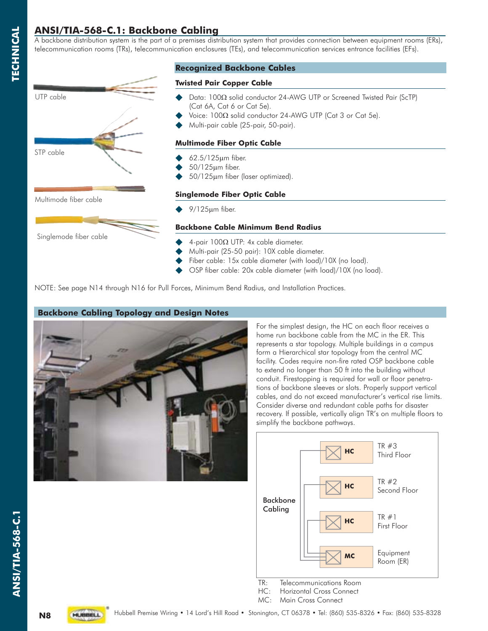### **ANSI/TIA-568-C.1: Backbone Cabling**

A backbone distribution system is the part of a premises distribution system that provides connection between equipment rooms (ERs), telecommunication rooms (TRs), telecommunication enclosures (TEs), and telecommunication services entrance facilities (EFs).



### **Recognized Backbone Cables**

#### **Twisted Pair Copper Cable**

- $\blacklozenge$  Data: 100 $\Omega$  solid conductor 24-AWG UTP or Screened Twisted Pair (ScTP) (Cat 6A, Cat 6 or Cat 5e).
- $\blacklozenge$  Voice: 100 $\Omega$  solid conductor 24-AWG UTP (Cat 3 or Cat 5e).
	- Multi-pair cable (25-pair, 50-pair).

#### **Multimode Fiber Optic Cable**

- 62.5/125m fiber.
- 50/125m fiber.
- 50/125m fiber (laser optimized).

#### **Singlemode Fiber Optic Cable**

9/125m fiber.

#### **Backbone Cable Minimum Bend Radius**

- $\triangleq$  4-pair 100 $\Omega$  UTP: 4x cable diameter.
	- Multi-pair (25-50 pair): 10X cable diameter.
- Fiber cable: 15x cable diameter (with load)/10X (no load).
- OSP fiber cable: 20x cable diameter (with load)/10X (no load).

NOTE: See page N14 through N16 for Pull Forces, Minimum Bend Radius, and Installation Practices.

### **Backbone Cabling Topology and Design Notes**



For the simplest design, the HC on each floor receives a home run backbone cable from the MC in the ER. This represents a star topology. Multiple buildings in a campus form a Hierarchical star topology from the central MC facility. Codes require non-fire rated OSP backbone cable to extend no longer than 50 ft into the building without conduit. Firestopping is required for wall or floor penetrations of backbone sleeves or slots. Properly support vertical cables, and do not exceed manufacturer's vertical rise limits. Consider diverse and redundant cable paths for disaster recovery. If possible, vertically align TR's on multiple floors to simplify the backbone pathways.





**TECHNICAL**

**TECHNICAL** 

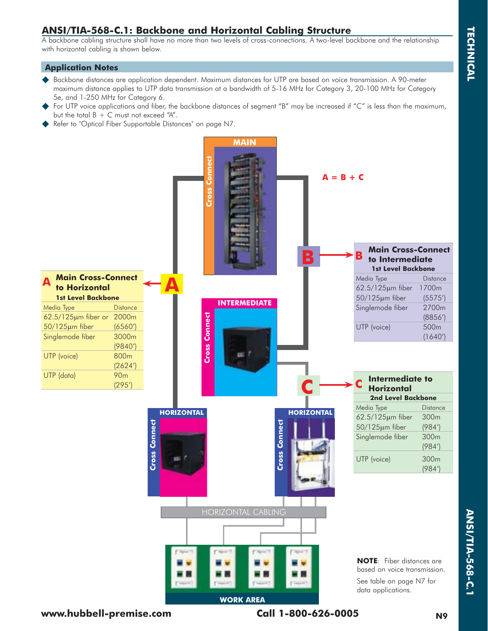### **ANSI/TIA-568-C.1: Backbone and Horizontal Cabling Structure**

A backbone cabling structure shall have no more than two levels of cross-connections. A two-level backbone and the relationship with horizontal cabling is shown below.

#### **Application Notes**

- ◆ Backbone distances are application dependent. Maximum distances for UTP are based on voice transmission. A 90-meter maximum distance applies to UTP data transmission at a bandwidth of 5-16 MHz for Category 3, 20-100 MHz for Category 5e, and 1-250 MHz for Category 6.
- For UTP voice applications and fiber, the backbone distances of segment "B" may be increased if "C" is less than the maximum, but the total  $B + C$  must not exceed "A".
- Refer to "Optical Fiber Supportable Distances" on page N7.

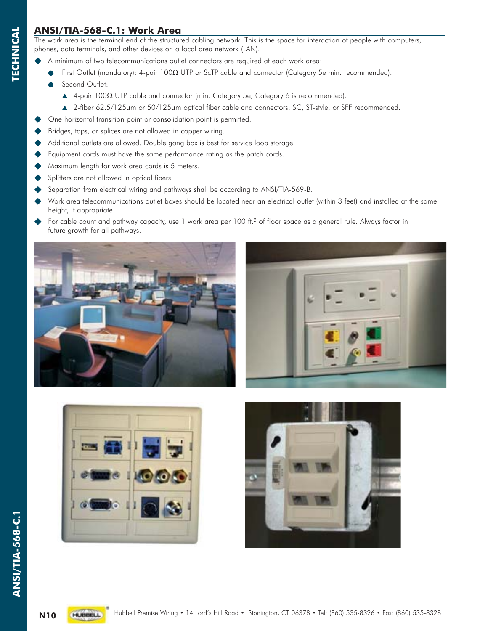### **ANSI/TIA-568-C.1: Work Area**

The work area is the terminal end of the structured cabling network. This is the space for interaction of people with computers, phones, data terminals, and other devices on a local area network (LAN).

- A minimum of two telecommunications outlet connectors are required at each work area:
	- $\bullet$ First Outlet (mandatory): 4-pair 1000 UTP or ScTP cable and connector (Category 5e min. recommended).
	- $\bullet$ Second Outlet:
- $\blacktriangle$  4-pair 100 $\Omega$  UTP cable and connector (min. Category 5e, Category 6 is recommended).
	- ▲ 2-fiber 62.5/125µm or 50/125µm optical fiber cable and connectors: SC, ST-style, or SFF recommended.
- One horizontal transition point or consolidation point is permitted.
- Bridges, taps, or splices are not allowed in copper wiring.
- Additional outlets are allowed. Double gang box is best for service loop storage.
- Equipment cords must have the same performance rating as the patch cords.
- Maximum length for work area cords is 5 meters.
- Splitters are not allowed in optical fibers.
- Separation from electrical wiring and pathways shall be according to ANSI/TIA-569-B.
- Work area telecommunications outlet boxes should be located near an electrical outlet (within 3 feet) and installed at the same height, if appropriate.
- For cable count and pathway capacity, use  $1$  work area per  $100$  ft.<sup>2</sup> of floor space as a general rule. Always factor in future growth for all pathways.









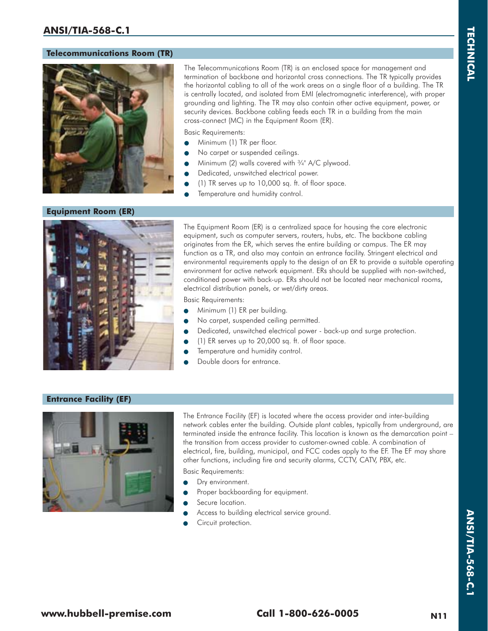#### **Telecommunications Room (TR)**



The Telecommunications Room (TR) is an enclosed space for management and termination of backbone and horizontal cross connections. The TR typically provides the horizontal cabling to all of the work areas on a single floor of a building. The TR is centrally located, and isolated from EMI (electromagnetic interference), with proper grounding and lighting. The TR may also contain other active equipment, power, or security devices. Backbone cabling feeds each TR in a building from the main cross-connect (MC) in the Equipment Room (ER).

Basic Requirements:

- $\bullet$ Minimum (1) TR per floor.
- $\bullet$ No carpet or suspended ceilings.
- $\bullet$ Minimum (2) walls covered with  $\frac{3}{4}$ " A/C plywood.
- $\bullet$ Dedicated, unswitched electrical power.
- $\bullet$ (1) TR serves up to 10,000 sq. ft. of floor space.
- $\bullet$ Temperature and humidity control.

#### **Equipment Room (ER)**



The Equipment Room (ER) is a centralized space for housing the core electronic equipment, such as computer servers, routers, hubs, etc. The backbone cabling originates from the ER, which serves the entire building or campus. The ER may function as a TR, and also may contain an entrance facility. Stringent electrical and environmental requirements apply to the design of an ER to provide a suitable operating environment for active network equipment. ERs should be supplied with non-switched, conditioned power with back-up. ERs should not be located near mechanical rooms, electrical distribution panels, or wet/dirty areas.

Basic Requirements:

- $\bullet$ Minimum (1) ER per building.
- $\bullet$ No carpet, suspended ceiling permitted.
- $\bullet$ Dedicated, unswitched electrical power - back-up and surge protection.
- $\bullet$ (1) ER serves up to 20,000 sq. ft. of floor space.
- $\bullet$ Temperature and humidity control.
- $\bullet$ Double doors for entrance.

#### **Entrance Facility (EF)**



The Entrance Facility (EF) is located where the access provider and inter-building network cables enter the building. Outside plant cables, typically from underground, are terminated inside the entrance facility. This location is known as the demarcation point – the transition from access provider to customer-owned cable. A combination of electrical, fire, building, municipal, and FCC codes apply to the EF. The EF may share other functions, including fire and security alarms, CCTV, CATV, PBX, etc.

Basic Requirements:

- $\bullet$ Dry environment.
- $\bullet$ Proper backboarding for equipment.
- $\bullet$ Secure location.
- $\bullet$ Access to building electrical service ground.
- $\bullet$ Circuit protection.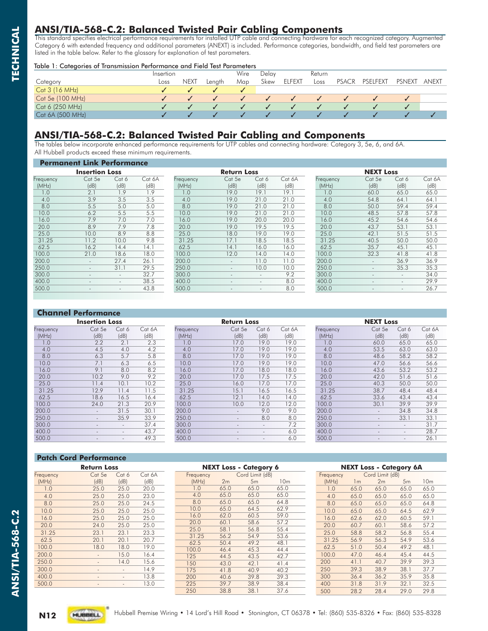### **ANSI/TIA-568-C.2: Balanced Twisted Pair Cabling Components**

This standard specifies electrical performance requirements for installed UTP cable and connecting hardware for each recognized category. Augmented Category 6 with extended frequency and additional parameters (ANEXT) is included. Performance categories, bandwidth, and field test parameters are listed in the table below. Refer to the glossary for explanation of test parameters.

#### Table 1: Categories of Transmission Performance and Field Test Parameters

|                  | Insertion |             |        | Wire | Delav |               | Return |              |          |               |       |
|------------------|-----------|-------------|--------|------|-------|---------------|--------|--------------|----------|---------------|-------|
| Category         | Loss      | <b>NEXT</b> | Lenath | Map  | Skew  | <b>ELFEXT</b> | Loss   | <b>PSACR</b> | PSELFEXT | <b>PSNEXT</b> | anext |
| Cat 3 (16 MHz)   |           |             |        |      |       |               |        |              |          |               |       |
| Cat 5e (100 MHz) |           |             |        |      |       |               |        |              |          |               |       |
| Cat 6 (250 MHz)  |           |             |        |      |       |               |        |              |          |               |       |
| Cat 6A (500 MHz) |           |             |        |      |       |               |        |              |          |               |       |

### **ANSI/TIA-568-C.2: Balanced Twisted Pair Cabling and Components**

The tables below incorporate enhanced performance requirements for UTP cables and connecting hardware: Category 3, 5e, 6, and 6A. All Hubbell products exceed these minimum requirements.

|           | remionent Link Periormance |        |        |           |                          |        |        |           |                          |        |        |  |
|-----------|----------------------------|--------|--------|-----------|--------------------------|--------|--------|-----------|--------------------------|--------|--------|--|
|           | <b>Insertion Loss</b>      |        |        |           | <b>Return Loss</b>       |        |        |           | <b>NEXT Loss</b>         |        |        |  |
| Frequency | Cat 5e                     | Cat 6  | Cat 6A | Frequency | Cat 5e                   | Cat 6  | Cat 6A | Frequency | Cat 5e                   | Cat 6  | Cat 6A |  |
| (MHz)     | (dB)                       | (dB)   | (dB)   | (MHz)     | (dB)                     | (dB)   | (dB)   | (MHz)     | (dB)                     | (dB)   | (dB)   |  |
| 1.0       | 2.1                        | 1.9    | 1.9    | 1.0       | 19.0                     | 19.1   | 19.1   | 1.0       | 60.0                     | 65.0   | 65.0   |  |
| 4.0       | 3.9                        | 3.5    | 3.5    | 4.0       | 19.0                     | 21.0   | 21.0   | 4.0       | 54.8                     | 64.1   | 64.1   |  |
| 8.0       | 5.5                        | 5.0    | 5.0    | 8.0       | 19.0                     | 21.0   | 21.0   | 8.0       | 50.0                     | 59.4   | 59.4   |  |
| 10.0      | 6.2                        | 5.5    | 5.5    | 10.0      | 19.0                     | 21.0   | 21.0   | 10.0      | 48.5                     | 57.8   | 57.8   |  |
| 16.0      | 7.9                        | 7.0    | 7.0    | 16.0      | 19.0                     | 20.0   | 20.0   | 16.0      | 45.2                     | 54.6   | 54.6   |  |
| 20.0      | 8.9                        | 7.9    | 7.8    | 20.0      | 19.0                     | 19.5   | 19.5   | 20.0      | 43.7                     | 53.1   | 53.1   |  |
| 25.0      | 10.0                       | 8.9    | 8.8    | 25.0      | 18.0                     | 19.0   | 19.0   | 25.0      | 42.1                     | 51.5   | 51.5   |  |
| 31.25     | 11.2                       | 10.0   | 9.8    | 31.25     | 17.1                     | 18.5   | 18.5   | 31.25     | 40.5                     | 50.0   | 50.0   |  |
| 62.5      | 16.2                       | 14.4   | 14.1   | 62.5      | 14.1                     | 16.0   | 16.0   | 62.5      | 35.7                     | 45.1   | 45.1   |  |
| 100.0     | 21.0                       | 18.6   | 18.0   | 100.0     | 12.0                     | 14.0   | 14.0   | 100.0     | 32.3                     | 41.8   | 41.8   |  |
| 200.0     | $\overline{\phantom{a}}$   | 27.4   | 26.1   | 200.0     | $\overline{\phantom{a}}$ | 11.0   | 11.0   | 200.0     | $\overline{\phantom{a}}$ | 36.9   | 36.9   |  |
| 250.0     | $\overline{\phantom{a}}$   | 31.1   | 29.5   | 250.0     | $\overline{\phantom{a}}$ | 10.0   | 10.0   | 250.0     | $\overline{\phantom{a}}$ | 35.3   | 35.3   |  |
| 300.0     | $\overline{\phantom{a}}$   | $\sim$ | 32.7   | 300.0     | $\overline{\phantom{a}}$ | $\sim$ | 9.2    | 300.0     | $\overline{\phantom{a}}$ | $\sim$ | 34.0   |  |
| 400.0     | $\overline{\phantom{a}}$   |        | 38.5   | 400.0     |                          | $\sim$ | 8.0    | 400.0     | $\overline{\phantom{a}}$ | $\sim$ | 29.9   |  |
| 500.0     | $\overline{\phantom{a}}$   |        | 43.8   | 500.0     |                          |        | 8.0    | 500.0     | $\overline{\phantom{a}}$ | $\sim$ | 26.7   |  |

### **Channel Performance**

**Permanent Link Performance**

|           | <b>Insertion Loss</b>    |                          |        |           | <b>Return Loss</b> |        |        |           | <b>NEXT Loss</b>         |                          |        |
|-----------|--------------------------|--------------------------|--------|-----------|--------------------|--------|--------|-----------|--------------------------|--------------------------|--------|
| Frequency | Cat 5e                   | Cat 6                    | Cat 6A | Frequency | Cat 5e             | Cat 6  | Cat 6A | Frequency | Cat 5e                   | Cat 6                    | Cat 6A |
| (MHz)     | (dB)                     | (dB)                     | (dB)   | (MHz)     | (dB)               | (dB)   | (dB)   | (MHz)     | (dB)                     | (dB)                     | (dB)   |
| 1.0       | 2.2                      | 2.1                      | 2.3    | 1.0       | 17.0               | 19.0   | 19.0   | 0.1       | 60.0                     | 65.0                     | 65.0   |
| 4.0       | 4.5                      | 4.0                      | 4.2    | 4.0       | 17.0               | 19.0   | 19.0   | 4.0       | 53.5                     | 63.0                     | 63.0   |
| 8.0       | 6.3                      | 5.7                      | 5.8    | 8.0       | 17.0               | 19.0   | 19.0   | 8.0       | 48.6                     | 58.2                     | 58.2   |
| 10.0      | 7.1                      | 6.3                      | 6.5    | 10.0      | 17.0               | 19.0   | 19.0   | 10.0      | 47.0                     | 56.6                     | 56.6   |
| 16.0      | 9.1                      | 8.0                      | 8.2    | 16.0      | 17.0               | 18.0   | 18.0   | 16.0      | 43.6                     | 53.2                     | 53.2   |
| 20.0      | 10.2                     | 9.0                      | 9.2    | 20.0      | 17.0               | 17.5   | 17.5   | 20.0      | 42.0                     | 51.6                     | 51.6   |
| 25.0      | 11.4                     | 10.1                     | 10.2   | 25.0      | 16.0               | 17.0   | 17.0   | 25.0      | 40.3                     | 50.0                     | 50.0   |
| 31.25     | 12.9                     | 11.4                     | 11.5   | 31.25     | 15.1               | 16.5   | 16.5   | 31.25     | 38.7                     | 48.4                     | 48.4   |
| 62.5      | 18.6                     | 16.5                     | 16.4   | 62.5      | 12.1               | 14.0   | 14.0   | 62.5      | 33.6                     | 43.4                     | 43.4   |
| 100.0     | 24.0                     | 21.3                     | 20.9   | 100.0     | 10.0               | 12.0   | 12.0   | 100.0     | 30.1                     | 39.9                     | 39.9   |
| 200.0     | $\sim$                   | 31.5                     | 30.1   | 200.0     | $\sim$             | 9.0    | 9.0    | 200.0     | $\overline{\phantom{a}}$ | 34.8                     | 34.8   |
| 250.0     | $\sim$                   | 35.9                     | 33.9   | 250.0     | $\sim$             | 8.0    | 8.0    | 250.0     | $\sim$                   | 33.1                     | 33.1   |
| 300.0     | $\overline{\phantom{a}}$ | $\sim$                   | 37.4   | 300.0     | $\sim$             | $\sim$ | 7.2    | 300.0     | $\sim$                   | $\sim$                   | 31.7   |
| 400.0     | $\overline{\phantom{a}}$ | $\overline{a}$           | 43.7   | 400.0     | $\sim$             | $\sim$ | 6.0    | 400.0     | $\overline{\phantom{a}}$ | $\overline{\phantom{a}}$ | 28.7   |
| 500.0     | $\overline{\phantom{0}}$ | $\overline{\phantom{a}}$ | 49.3   | 500.0     |                    |        | 6.0    | 500.0     | $\overline{\phantom{a}}$ | $\overline{\phantom{a}}$ | 26.1   |

#### **Patch Cord Performance**

|           | <b>Return Loss</b> |       |        |
|-----------|--------------------|-------|--------|
| Frequency | Cat 5e             | Cat 6 | Cat 6A |
| (MHz)     | (dB)               | (dB)  | (dB)   |
| 1.0       | 25.0               | 25.0  | 20.0   |
| 4.0       | 25.0               | 25.0  | 23.0   |
| 8.0       | 25.0               | 25.0  | 24.5   |
| 10.0      | 25.0               | 25.0  | 25.0   |
| 16.0      | 25.0               | 25.0  | 25.0   |
| 20.0      | 24.0               | 25.0  | 25.0   |
| 31.25     | 23.1               | 23.1  | 23.3   |
| 62.5      | 20.1               | 20.1  | 20.7   |
| 100.0     | 18.0               | 18.0  | 19.0   |
| 200.0     | ٠                  | 15.0  | 16.4   |
| 250.0     | ۰                  | 14.0  | 15.6   |
| 300.0     |                    |       | 14.9   |
| 400.0     | ۰                  |       | 13.8   |
| 500.0     | ٠                  | -     | 13.0   |
|           |                    |       |        |

|           |      | <b>INEAT LOSS - CATEGOLY O</b> |                 |  |
|-----------|------|--------------------------------|-----------------|--|
| Frequency |      | Cord Limit (dB)                |                 |  |
| (MHz)     | 2m   | 5m                             | 10 <sub>m</sub> |  |
| 1.0       | 65.0 | 65.0                           | 65.0            |  |
| 4.0       | 65.0 | 65.0                           | 65.0            |  |
| 8.0       | 65.0 | 65.0                           | 64.8            |  |
| 10.0      | 65.0 | 64.5                           | 62.9            |  |
| 16.0      | 62.0 | 60.5                           | 59.0            |  |
| 20.0      | 60.1 | 58.6                           | 57.2            |  |
| 25.0      | 58.1 | 56.8                           | 55.4            |  |
| 31.25     | 56.2 | 54.9                           | 53.6            |  |
| 62.5      | 50.4 | 49.2                           | 48.1            |  |
| 100.0     | 46.4 | 45.3                           | 44.4            |  |
| 125       | 44.5 | 43.5                           | 42.7            |  |
| 150       | 43.0 | 42.1                           | 41.4            |  |
| 175       | 41.8 | 40.9                           | 40.2            |  |
| 200       | 40.6 | 39.8                           | 39.3            |  |
| 225       | 39.7 | 38.9                           | 38.4            |  |
| 250       | 38.8 | 38.1                           | 37.6            |  |
|           |      |                                |                 |  |

**NEXT Loss - Category 6**

|           |                | <b>NEXT Loss - Category 6A</b> |                |                 |
|-----------|----------------|--------------------------------|----------------|-----------------|
| Frequency |                | Cord Limit (dB)                |                |                 |
| (MHz)     | 1 <sub>m</sub> | 2m                             | 5 <sub>m</sub> | 10 <sub>m</sub> |
| 1.0       | 65.0           | 65.0                           | 65.0           | 65.0            |
| 4.0       | 65.0           | 65.0                           | 65.0           | 65.0            |
| 8.0       | 65.0           | 65.0                           | 65.0           | 64.8            |
| 10.0      | 65.0           | 65.0                           | 64.5           | 62.9            |
| 16.0      | 62.6           | 62.0                           | 60.5           | 59.1            |
| 20.0      | 60.7           | 60.1                           | 58.6           | 57.2            |
| 25.0      | 58.8           | 58.2                           | 56.8           | 55.4            |
| 31.25     | 56.9           | 56.3                           | 54.9           | 53.6            |
| 62.5      | 51.0           | 50.4                           | 49.2           | 48.1            |
| 100.0     | 47.0           | 46.4                           | 45.4           | 44.5            |
| 200       | 41.1           | 40.7                           | 39.9           | 39.3            |
| 250       | 39.3           | 38.9                           | 38.1           | 37.7            |
| 300       | 36.4           | 36.2                           | 35.9           | 35.8            |
| 400       | 31.8           | 31.9                           | 32.1           | 32.5            |
| 500       | 28.2           | 28.4                           | 29.0           | 29.8            |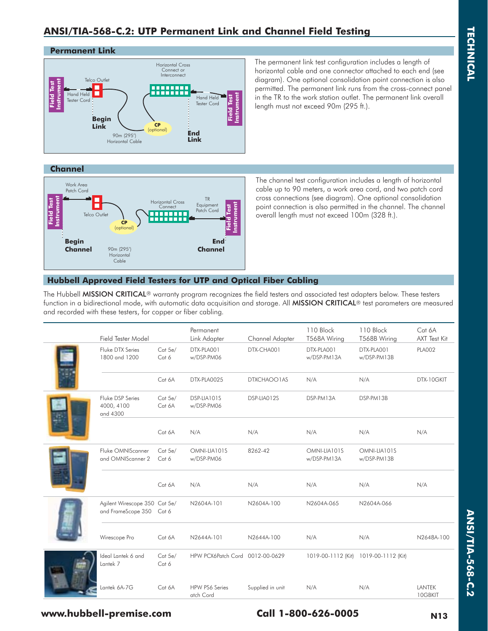### **ANSI/TIA-568-C.2: UTP Permanent Link and Channel Field Testing**

#### **Permanent Link**



The permanent link test configuration includes a length of horizontal cable and one connector attached to each end (see diagram). One optional consolidation point connection is also permitted. The permanent link runs from the cross-connect panel in the TR to the work station outlet. The permanent link overall length must not exceed 90m (295 ft.).

#### **Channel**



The channel test configuration includes a length of horizontal cable up to 90 meters, a work area cord, and two patch cord cross connections (see diagram). One optional consolidation point connection is also permitted in the channel. The channel overall length must not exceed 100m (328 ft.).

### **Hubbell Approved Field Testers for UTP and Optical Fiber Cabling**

The Hubbell MISSION CRITICAL<sup>®</sup> warranty program recognizes the field testers and associated test adapters below. These testers function in a bidirectional mode, with automatic data acquisition and storage. All MISSION CRITICAL® test parameters are measured and recorded with these testers, for copper or fiber cabling.

| Field Tester Model                                        |                   | Permanent<br>Link Adapter          | Channel Adapter  | 110 Block<br>T568A Wiring   | 110 Block<br>T568B Wiring   | Cat 6A<br><b>AXT Test Kit</b> |
|-----------------------------------------------------------|-------------------|------------------------------------|------------------|-----------------------------|-----------------------------|-------------------------------|
| Fluke DTX Series<br>1800 and 1200                         | Cat 5e/<br>Cat 6  | DTX-PLA001<br>w/DSP-PM06           | DTX-CHA001       | DTX-PLA001<br>w/DSP-PM13A   | DTX-PLA001<br>w/DSP-PM13B   | <b>PLA002</b>                 |
|                                                           | Cat 6A            | DTX-PLA0025                        | DTXCHAOO1AS      | N/A                         | N/A                         | DTX-10GKIT                    |
| Fluke DSP Series<br>4000, 4100<br>and 4300                | Cat 5e/<br>Cat 6A | DSP-LIA101S<br>w/DSP-PM06          | DSP-LIA012S      | DSP-PM13A                   | DSP-PM13B                   |                               |
|                                                           | Cat 6A            | N/A                                | N/A              | N/A                         | N/A                         | N/A                           |
| Fluke OMNIScanner<br>and OMNIScanner 2                    | Cat 5e/<br>Cat 6  | OMNI-LIA101S<br>w/DSP-PM06         | 8262-42          | OMNI-LIA101S<br>w/DSP-PM13A | OMNI-LIA101S<br>w/DSP-PM13B |                               |
|                                                           | Cat 6A            | N/A                                | N/A              | N/A                         | N/A                         | N/A                           |
| Agilent Wirescope 350 Cat 5e/<br>and FrameScope 350 Cat 6 |                   | N2604A-101                         | N2604A-100       | N2604A-065                  | N2604A-066                  |                               |
| Wirescope Pro                                             | Cat 6A            | N2644A-101                         | N2644A-100       | N/A                         | N/A                         | N2648A-100                    |
| Ideal Lantek 6 and<br>Lantek 7                            | Cat 5e/<br>Cat 6  | HPW PCX6Patch Cord 0012-00-0629    |                  | 1019-00-1112 (Kit)          | 1019-00-1112 (Kit)          |                               |
| Lantek 6A-7G                                              | Cat 6A            | <b>HPW PS6 Series</b><br>atch Cord | Supplied in unit | N/A                         | N/A                         | LANTEK<br>10GBKIT             |

**TECHNICAL**

**TECHNICAL** 

### **www.hubbell-premise.com Call 1-800-626-0005 N13**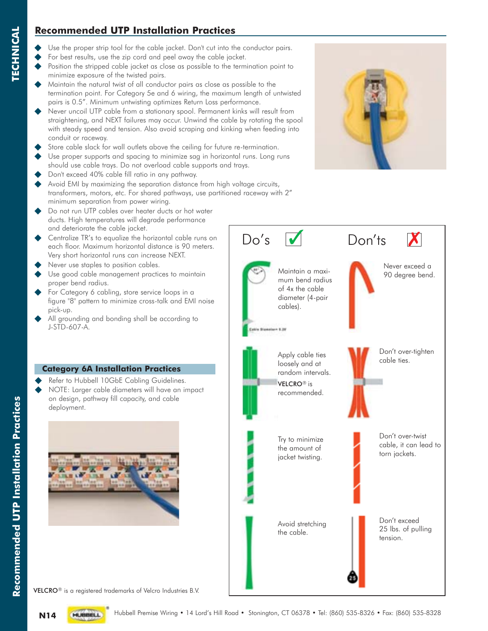### **Recommended UTP Installation Practices**

- Use the proper strip tool for the cable jacket. Don't cut into the conductor pairs.
- For best results, use the zip cord and peel away the cable jacket.
- Position the stripped cable jacket as close as possible to the termination point to minimize exposure of the twisted pairs.
- Maintain the natural twist of all conductor pairs as close as possible to the termination point. For Category 5e and 6 wiring, the maximum length of untwisted pairs is 0.5". Minimum untwisting optimizes Return Loss performance.
- Never uncoil UTP cable from a stationary spool. Permanent kinks will result from straightening, and NEXT failures may occur. Unwind the cable by rotating the spool with steady speed and tension. Also avoid scraping and kinking when feeding into conduit or raceway.
- Store cable slack for wall outlets above the ceiling for future re-termination.
- Use proper supports and spacing to minimize sag in horizontal runs. Long runs should use cable trays. Do not overload cable supports and trays.
- Don't exceed 40% cable fill ratio in any pathway.
- Avoid EMI by maximizing the separation distance from high voltage circuits, transformers, motors, etc. For shared pathways, use partitioned raceway with 2" minimum separation from power wiring.
- ◆ Do not run UTP cables over heater ducts or hot water ducts. High temperatures will degrade performance and deteriorate the cable jacket.
- Centralize TR's to equalize the horizontal cable runs on each floor. Maximum horizontal distance is 90 meters. Very short horizontal runs can increase NEXT.
- Never use staples to position cables.
- Use good cable management practices to maintain proper bend radius.
- For Category 6 cabling, store service loops in a figure "8" pattern to minimize cross-talk and EMI noise pick-up.
- All grounding and bonding shall be according to J-STD-607-A.

### **Category 6A Installation Practices**

- Refer to Hubbell 10GbE Cabling Guidelines.
- NOTE: Larger cable diameters will have an impact on design, pathway fill capacity, and cable deployment.





VELCRO® is a registered trademarks of Velcro Industries B.V.



**TECHNICAL**

**TECHNICAL** 

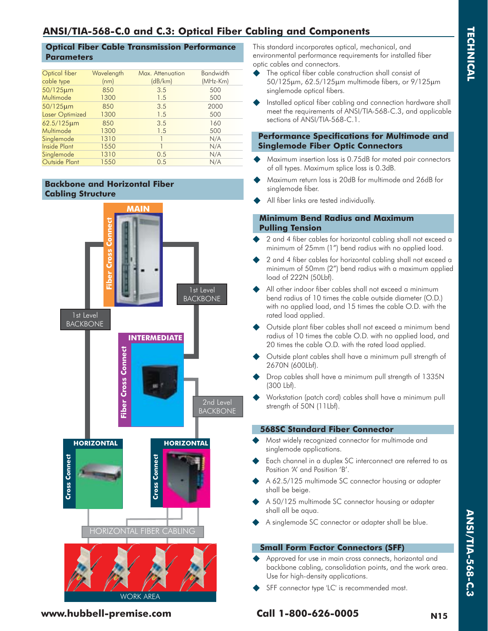## **ANSI/TIA-568-C.0 and C.3: Optical Fiber Cabling and Components**

#### **Optical Fiber Cable Transmission Performance Parameters**

| Optical fiber<br>cable type | Wavelength<br>(nm) | Max. Attenuation<br>(dB/km) | <b>Bandwidth</b><br>(MHz-Km) |
|-----------------------------|--------------------|-----------------------------|------------------------------|
| 50/125µm                    | 850                | 3.5                         | 500                          |
| Multimode                   | 1300               | 1.5                         | 500                          |
| 50/125µm                    | 850                | 3.5                         | 2000                         |
| Laser Optimized             | 1300               | 1.5                         | 500                          |
| 62.5/125µm                  | 850                | 3.5                         | 160                          |
| Multimode                   | 1300               | 1.5                         | 500                          |
| Singlemode                  | 1310               |                             | N/A                          |
| <b>Inside Plant</b>         | 1550               |                             | N/A                          |
| Singlemode                  | 1310               | 0.5                         | N/A                          |
| Outside Plant               | 1550               | 0.5                         | N/A                          |

### **Backbone and Horizontal Fiber Cabling Structure**



This standard incorporates optical, mechanical, and environmental performance requirements for installed fiber optic cables and connectors.

- The optical fiber cable construction shall consist of 50/125m, 62.5/125m multimode fibers, or 9/125m singlemode optical fibers.
- Installed optical fiber cabling and connection hardware shall meet the requirements of ANSI/TIA-568-C.3, and applicable sections of ANSI/TIA-568-C.1.

#### **Performance Specifications for Multimode and Singlemode Fiber Optic Connectors**

- Maximum insertion loss is 0.75dB for mated pair connectors of all types. Maximum splice loss is 0.3dB.
- Maximum return loss is 20dB for multimode and 26dB for singlemode fiber.
- All fiber links are tested individually.

#### **Minimum Bend Radius and Maximum Pulling Tension**

- 2 and 4 fiber cables for horizontal cabling shall not exceed a minimum of 25mm (1") bend radius with no applied load.
- 2 and 4 fiber cables for horizontal cabling shall not exceed a minimum of 50mm (2") bend radius with a maximum applied load of 222N (50Lbf).
- All other indoor fiber cables shall not exceed a minimum bend radius of 10 times the cable outside diameter (O.D.) with no applied load, and 15 times the cable O.D. with the rated load applied.
- Outside plant fiber cables shall not exceed a minimum bend radius of 10 times the cable O.D. with no applied load, and 20 times the cable O.D. with the rated load applied.
- Outside plant cables shall have a minimum pull strength of 2670N (600Lbf).
- Drop cables shall have a minimum pull strength of 1335N (300 Lbf).
- Workstation (patch cord) cables shall have a minimum pull strength of 50N (11Lbf).

#### **568SC Standard Fiber Connector**

- Most widely recognized connector for multimode and singlemode applications.
- Each channel in a duplex SC interconnect are referred to as Position 'A' and Position 'B'.
- A 62.5/125 multimode SC connector housing or adapter shall be beige.
- A 50/125 multimode SC connector housing or adapter shall all be aqua.
- A singlemode SC connector or adapter shall be blue.

### **Small Form Factor Connectors (SFF)**

- Approved for use in main cross connects, horizontal and backbone cabling, consolidation points, and the work area. Use for high-density applications.
- SFF connector type 'LC' is recommended most.

**www.hubbell-premise.com Call 1-800-626-0005 N15**

**ANSI/TIA-568-C.3**

ANSI/TIA-568-C.3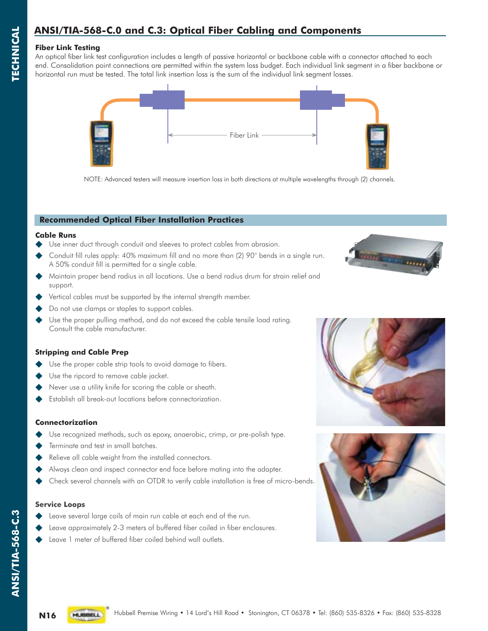# **ANSI/TIA-568-C.0 and C.3: Optical Fiber Cabling and Components**

#### **Fiber Link Testing**

**TECHNICAL**

**TECHNICAL** 

An optical fiber link test configuration includes a length of passive horizontal or backbone cable with a connector attached to each end. Consolidation point connections are permitted within the system loss budget. Each individual link segment in a fiber backbone or horizontal run must be tested. The total link insertion loss is the sum of the individual link segment losses.



NOTE: Advanced testers will measure insertion loss in both directions at multiple wavelengths through (2) channels.

#### **Recommended Optical Fiber Installation Practices**

#### **Cable Runs**

- Use inner duct through conduit and sleeves to protect cables from abrasion.
- Conduit fill rules apply: 40% maximum fill and no more than (2) 90° bends in a single run. A 50% conduit fill is permitted for a single cable.
- Maintain proper bend radius in all locations. Use a bend radius drum for strain relief and support.
- Vertical cables must be supported by the internal strength member.
- Do not use clamps or staples to support cables.
- Use the proper pulling method, and do not exceed the cable tensile load rating. Consult the cable manufacturer.

#### **Stripping and Cable Prep**

- Use the proper cable strip tools to avoid damage to fibers.
- Use the ripcord to remove cable jacket.
- Never use a utility knife for scoring the cable or sheath.
- Establish all break-out locations before connectorization.

#### **Connectorization**

- Use recognized methods, such as epoxy, anaerobic, crimp, or pre-polish type.
- Terminate and test in small batches.
- Relieve all cable weight from the installed connectors.
- Always clean and inspect connector end face before mating into the adapter.
- Check several channels with an OTDR to verify cable installation is free of micro-bends.

#### **Service Loops**

- Leave several large coils of main run cable at each end of the run.
- Leave approximately 2-3 meters of buffered fiber coiled in fiber enclosures.
- Leave 1 meter of buffered fiber coiled behind wall outlets.







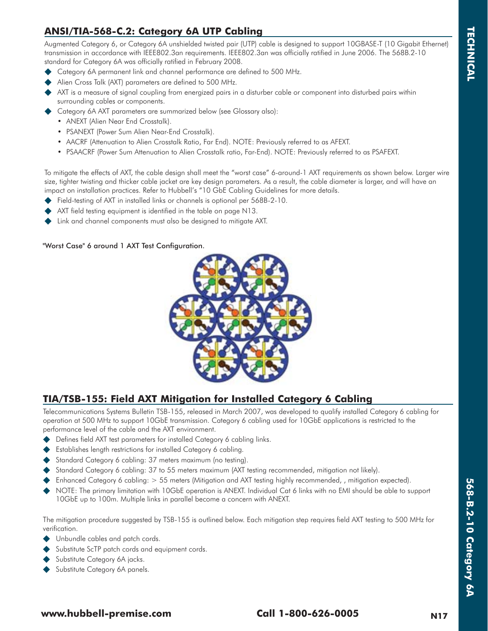### **ANSI/TIA-568-C.2: Category 6A UTP Cabling**

Augmented Category 6, or Category 6A unshielded twisted pair (UTP) cable is designed to support 10GBASE-T (10 Gigabit Ethernet) transmission in accordance with IEEE802.3an requirements. IEEE802.3an was officially ratified in June 2006. The 568B.2-10 standard for Category 6A was officially ratified in February 2008.

- Category 6A permanent link and channel performance are defined to 500 MHz.
- Alien Cross Talk (AXT) parameters are defined to 500 MHz.
- AXT is a measure of signal coupling from energized pairs in a disturber cable or component into disturbed pairs within surrounding cables or components.
- Category 6A AXT parameters are summarized below (see Glossary also):
	- ANEXT (Alien Near End Crosstalk).
	- PSANEXT (Power Sum Alien Near-End Crosstalk).
	- AACRF (Attenuation to Alien Crosstalk Ratio, Far End). NOTE: Previously referred to as AFEXT.
	- PSAACRF (Power Sum Attenuation to Alien Crosstalk ratio, Far-End). NOTE: Previously referred to as PSAFEXT.

To mitigate the effects of AXT, the cable design shall meet the "worst case" 6-around-1 AXT requirements as shown below. Larger wire size, tighter twisting and thicker cable jacket are key design parameters. As a result, the cable diameter is larger, and will have an impact on installation practices. Refer to Hubbell's "10 GbE Cabling Guidelines for more details.

- Field-testing of AXT in installed links or channels is optional per 568B-2-10.
- AXT field testing equipment is identified in the table on page N13.
- Link and channel components must also be designed to mitigate AXT.

#### "Worst Case" 6 around 1 AXT Test Configuration.



### **TIA/TSB-155: Field AXT Mitigation for Installed Category 6 Cabling**

Telecommunications Systems Bulletin TSB-155, released in March 2007, was developed to qualify installed Category 6 cabling for operation at 500 MHz to support 10GbE transmission. Category 6 cabling used for 10GbE applications is restricted to the performance level of the cable and the AXT environment.

- Defines field AXT test parameters for installed Category 6 cabling links.
- Establishes length restrictions for installed Category 6 cabling.
- Standard Category 6 cabling: 37 meters maximum (no testing).
- Standard Category 6 cabling: 37 to 55 meters maximum (AXT testing recommended, mitigation not likely).
- Enhanced Category 6 cabling: > 55 meters (Mitigation and AXT testing highly recommended, , mitigation expected).
- NOTE: The primary limitation with 10GbE operation is ANEXT. Individual Cat 6 links with no EMI should be able to support 10GbE up to 100m. Multiple links in parallel become a concern with ANEXT.

The mitigation procedure suggested by TSB-155 is outlined below. Each mitigation step requires field AXT testing to 500 MHz for verification.

- Unbundle cables and patch cords.
- Substitute ScTP patch cords and equipment cords.
- Substitute Category 6A jacks.
- Substitute Category 6A panels.

### **www.hubbell-premise.com Call 1-800-626-0005 N17**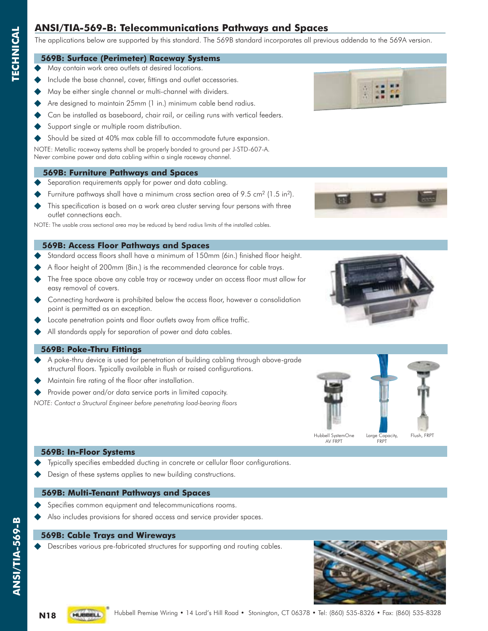### **ANSI/TIA-569-B: Telecommunications Pathways and Spaces**

The applications below are supported by this standard. The 569B standard incorporates all previous addenda to the 569A version.

#### **569B: Surface (Perimeter) Raceway Systems**

- May contain work area outlets at desired locations.
- Include the base channel, cover, fittings and outlet accessories.
- May be either single channel or multi-channel with dividers.
- Are designed to maintain 25mm (1 in.) minimum cable bend radius.
- Can be installed as baseboard, chair rail, or ceiling runs with vertical feeders.
- Support single or multiple room distribution.
- Should be sized at 40% max cable fill to accommodate future expansion.

NOTE: Metallic raceway systems shall be properly bonded to ground per J-STD-607-A. Never combine power and data cabling within a single raceway channel.

#### **569B: Furniture Pathways and Spaces**

- Separation requirements apply for power and data cabling.
- Furniture pathways shall have a minimum cross section area of 9.5 cm<sup>2</sup> (1.5 in<sup>2</sup>).
- This specification is based on a work area cluster serving four persons with three outlet connections each.

NOTE: The usable cross sectional area may be reduced by bend radius limits of the installed cables.

#### **569B: Access Floor Pathways and Spaces**

- Standard access floors shall have a minimum of 150mm (6in.) finished floor height.
- A floor height of 200mm (8in.) is the recommended clearance for cable trays.
- The free space above any cable tray or raceway under an access floor must allow for easy removal of covers.
- Connecting hardware is prohibited below the access floor, however a consolidation point is permitted as an exception.
- Locate penetration points and floor outlets away from office traffic.
- All standards apply for separation of power and data cables.

#### **569B: Poke-Thru Fittings**

- A poke-thru device is used for penetration of building cabling through above-grade structural floors. Typically available in flush or raised configurations.
- Maintain fire rating of the floor after installation.
- Provide power and/or data service ports in limited capacity.
- *NOTE: Contact a Structural Engineer before penetrating load-bearing floors*





#### **569B: In-Floor Systems**

- Typically specifies embedded ducting in concrete or cellular floor configurations.
- Design of these systems applies to new building constructions.

#### **569B: Multi-Tenant Pathways and Spaces**

- Specifies common equipment and telecommunications rooms.
- Also includes provisions for shared access and service provider spaces.

#### **569B: Cable Trays and Wireways**

Describes various pre-fabricated structures for supporting and routing cables.



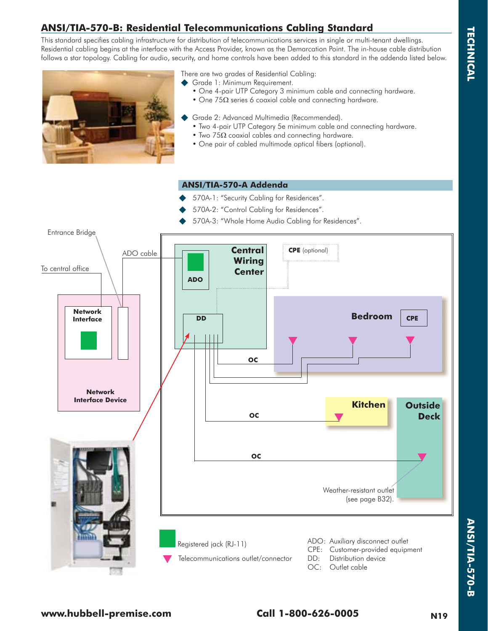# **ANSI/TIA-570-B: Residential Telecommunications Cabling Standard**

This standard specifies cabling infrastructure for distribution of telecommunications services in single or multi-tenant dwellings. Residential cabling begins at the interface with the Access Provider, known as the Demarcation Point. The in-house cable distribution follows a star topology. Cabling for audio, security, and home controls have been added to this standard in the addenda listed below.



There are two grades of Residential Cabling:

- Grade 1: Minimum Requirement.
	- One 4-pair UTP Category 3 minimum cable and connecting hardware.
- One  $75\Omega$  series 6 coaxial cable and connecting hardware.
	- Grade 2: Advanced Multimedia (Recommended).
	- Two 4-pair UTP Category 5e minimum cable and connecting hardware.
- Two  $75\Omega$  coaxial cables and connecting hardware.
	- One pair of cabled multimode optical fibers (optional).

#### **ANSI/TIA-570-A Addenda**

- 570A-1: "Security Cabling for Residences".
- 570A-2: "Control Cabling for Residences".
- 570A-3: "Whole Home Audio Cabling for Residences".

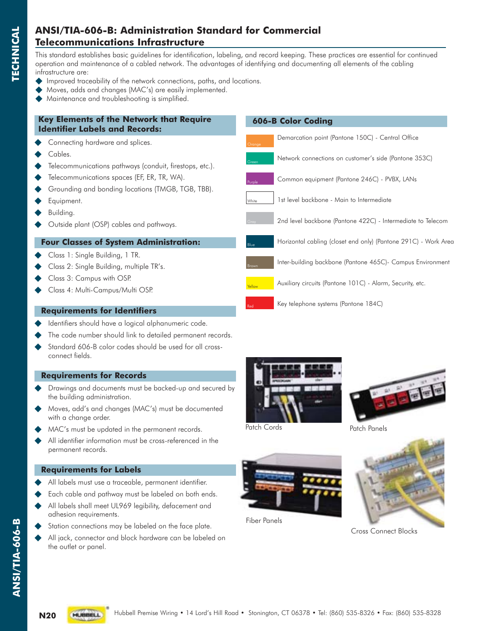### **ANSI/TIA-606-B: Administration Standard for Commercial Telecommunications Infrastructure**

This standard establishes basic guidelines for identification, labeling, and record keeping. These practices are essential for continued operation and maintenance of a cabled network. The advantages of identifying and documenting all elements of the cabling infrastructure are:

Green

 **606-B Color Coding**

Demarcation point (Pantone 150C) - Central Office

Common equipment (Pantone 246C) - PVBX, LANs

1st level backbone - Main to Intermediate

Key telephone systems (Pantone 184C)

Network connections on customer's side (Pantone 353C)

2nd level backbone (Pantone 422C) - Intermediate to Telecom

Horizontal cabling (closet end only) (Pantone 291C) - Work Area

Inter-building backbone (Pantone 465C)- Campus Environment

Auxiliary circuits (Pantone 101C) - Alarm, Security, etc.

Purple

White

Blue

Brown

Yellow

Red

- Improved traceability of the network connections, paths, and locations.
- Moves, adds and changes (MAC's) are easily implemented.
- Maintenance and troubleshooting is simplified.

#### **Key Elements of the Network that Require Identifier Labels and Records:**

- Connecting hardware and splices.
- Cables.

**TECHNICAL**

**TECHNICAL** 

- Telecommunications pathways (conduit, firestops, etc.).
- Telecommunications spaces (EF, ER, TR, WA).
- Grounding and bonding locations (TMGB, TGB, TBB).
- Equipment.
- Building.
- Outside plant (OSP) cables and pathways.

#### **Four Classes of System Administration:**

- Class 1: Single Building, 1 TR.
- Class 2: Single Building, multiple TR's.
- Class 3: Campus with OSP.
- Class 4: Multi-Campus/Multi OSP.

#### **Requirements for Identifiers**

- Identifiers should have a logical alphanumeric code.
- The code number should link to detailed permanent records.
- Standard 606-B color codes should be used for all cross connect fields.

#### **Requirements for Records**

- Drawings and documents must be backed-up and secured by the building administration.
- Moves, add's and changes (MAC's) must be documented with a change order.
- MAC's must be updated in the permanent records.
- All identifier information must be cross-referenced in the permanent records.

#### **Requirements for Labels**

- All labels must use a traceable, permanent identifier.
- Each cable and pathway must be labeled on both ends.
- All labels shall meet UL969 legibility, defacement and adhesion requirements.
- Station connections may be labeled on the face plate.
- All jack, connector and block hardware can be labeled on the outlet or panel.





Patch Cords



Fiber Panels



Cross Connect Blocks

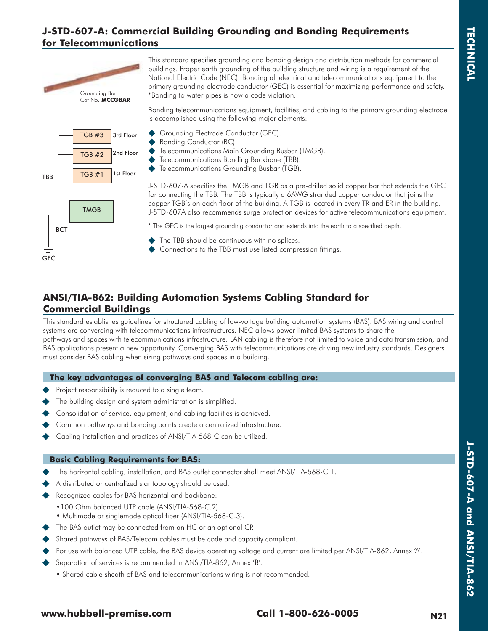### **J-STD-607-A: Commercial Building Grounding and Bonding Requirements for Telecommunications**



TGB #3 TGB #2  $\overline{TBB}$   $\overline{TCB \#1}$  1st Floor **TMGB** 3rd Floor 2nd Floor **BCT** 

GEC

This standard specifies grounding and bonding design and distribution methods for commercial buildings. Proper earth grounding of the building structure and wiring is a requirement of the National Electric Code (NEC). Bonding all electrical and telecommunications equipment to the primary grounding electrode conductor (GEC) is essential for maximizing performance and safety. \*Bonding to water pipes is now a code violation.

Bonding telecommunications equipment, facilities, and cabling to the primary grounding electrode is accomplished using the following major elements:

- Grounding Electrode Conductor (GEC).
- Bonding Conductor (BC).
- Telecommunications Main Grounding Busbar (TMGB).
- Telecommunications Bonding Backbone (TBB).
- ◆ Telecommunications Grounding Busbar (TGB).

J-STD-607-A specifies the TMGB and TGB as a pre-drilled solid copper bar that extends the GEC for connecting the TBB. The TBB is typically a 6AWG stranded copper conductor that joins the copper TGB's on each floor of the building. A TGB is located in every TR and ER in the building. J-STD-607A also recommends surge protection devices for active telecommunications equipment.

\* The GEC is the largest grounding conductor and extends into the earth to a specified depth.

- The TBB should be continuous with no splices.
- Connections to the TBB must use listed compression fittings.

### **ANSI/TIA-862: Building Automation Systems Cabling Standard for Commercial Buildings**

This standard establishes guidelines for structured cabling of low-voltage building automation systems (BAS). BAS wiring and control systems are converging with telecommunications infrastructures. NEC allows power-limited BAS systems to share the pathways and spaces with telecommunications infrastructure. LAN cabling is therefore not limited to voice and data transmission, and BAS applications present a new opportunity. Converging BAS with telecommunications are driving new industry standards. Designers must consider BAS cabling when sizing pathways and spaces in a building.

#### **The key advantages of converging BAS and Telecom cabling are:**

- Project responsibility is reduced to a single team.
- The building design and system administration is simplified.
- Consolidation of service, equipment, and cabling facilities is achieved.
- Common pathways and bonding points create a centralized infrastructure.
- Cabling installation and practices of ANSI/TIA-568-C can be utilized.

#### **Basic Cabling Requirements for BAS:**

- The horizontal cabling, installation, and BAS outlet connector shall meet ANSI/TIA-568-C.1.
- A distributed or centralized star topology should be used.
- Recognized cables for BAS horizontal and backbone:
	- •100 Ohm balanced UTP cable (ANSI/TIA-568-C.2).
	- Multimode or singlemode optical fiber (ANSI/TIA-568-C.3).
- The BAS outlet may be connected from an HC or an optional CP.
- Shared pathways of BAS/Telecom cables must be code and capacity compliant.
- For use with balanced UTP cable, the BAS device operating voltage and current are limited per ANSI/TIA-862, Annex 'A'.
- Separation of services is recommended in ANSI/TIA-862, Annex 'B'.
	- Shared cable sheath of BAS and telecommunications wiring is not recommended.

### **www.hubbell-premise.com Call 1-800-626-0005 N21**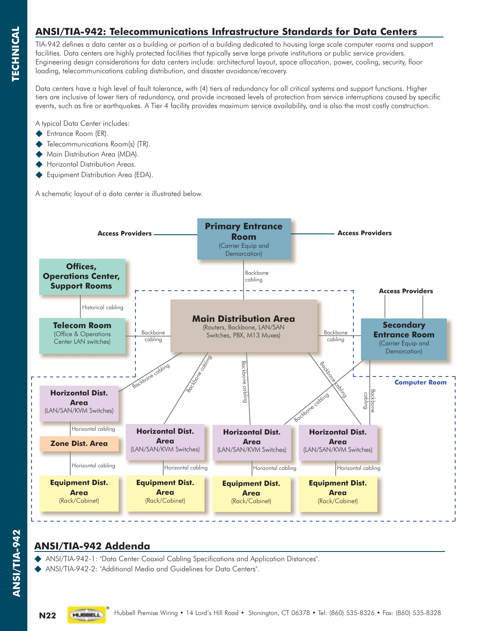### **ANSI/TIA-942: Telecommunications Infrastructure Standards for Data Centers**

TIA-942 defines a data center as a building or portion of a building dedicated to housing large scale computer rooms and support facilities. Data centers are highly protected facilities that typically serve large private institutions or public service providers. Engineering design considerations for data centers include: architectural layout, space allocation, power, cooling, security, floor loading, telecommunications cabling distribution, and disaster avoidance/recovery.

Data centers have a high level of fault tolerance, with (4) tiers of redundancy for all critical systems and support functions. Higher tiers are inclusive of lower tiers of redundancy, and provide increased levels of protection from service interruptions caused by specific events, such as fire or earthquakes. A Tier 4 facility provides maximum service availability, and is also the most costly construction.

A typical Data Center includes:

- Entrance Room (ER).
- Telecommunications Room(s) (TR).
- Main Distribution Area (MDA).
- Horizontal Distribution Areas.
- Equipment Distribution Area (EDA).

A schematic layout of a data center is illustrated below.



### **ANSI/TIA-942 Addenda**

ANSI/TIA-942-1: "Data Center Coaxial Cabling Specifications and Application Distances".

ANSI/TIA-942-2: "Additional Media and Guidelines for Data Centers".

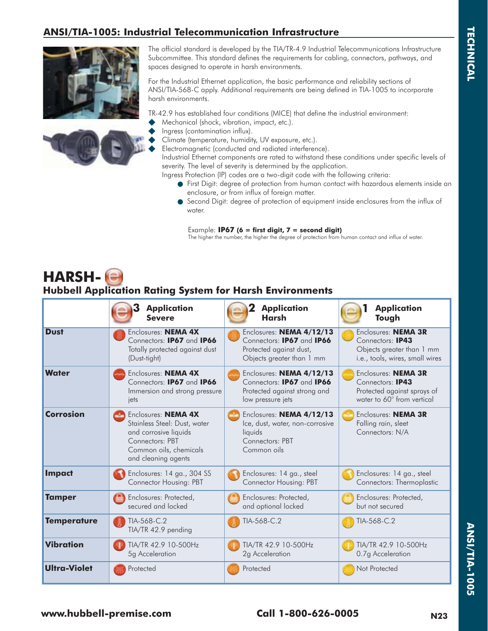### **ANSI/TIA-1005: Industrial Telecommunication Infrastructure**





The official standard is developed by the TIA/TR-4.9 Industrial Telecommunications Infrastructure Subcommittee. This standard defines the requirements for cabling, connectors, pathways, and spaces designed to operate in harsh environments.

For the Industrial Ethernet application, the basic performance and reliability sections of ANSI/TIA-568-C apply. Additional requirements are being defined in TIA-1005 to incorporate harsh environments.

TR-42.9 has established four conditions (MICE) that define the industrial environment:

- Mechanical (shock, vibration, impact, etc.).
- Ingress (contamination influx).
- Climate (temperature, humidity, UV exposure, etc.).
- Electromagnetic (conducted and radiated interference).

 Industrial Ethernet components are rated to withstand these conditions under specific levels of severity. The level of severity is determined by the application.

Ingress Protection (IP) codes are a two-digit code with the following criteria:

- $\bullet$  First Digit: degree of protection from human contact with hazardous elements inside an enclosure, or from influx of foreign matter.
- Second Digit: degree of protection of equipment inside enclosures from the influx of water.

Example: **IP67 (6 = first digit, 7 = second digit)**

The higher the number, the higher the degree of protection from human contact and influx of water.

# **HARSH-Hubbell Application Rating System for Harsh Environments**

|                     | <b>Application</b>                                                                                                                               | <b>Application</b>                                                                                       | <b>Application</b>                                                   |
|---------------------|--------------------------------------------------------------------------------------------------------------------------------------------------|----------------------------------------------------------------------------------------------------------|----------------------------------------------------------------------|
|                     | <b>Severe</b>                                                                                                                                    | Harsh                                                                                                    | Tough                                                                |
| <b>Dust</b>         | Enclosures: <b>NEMA 4X</b>                                                                                                                       | Enclosures: NEMA 4/12/13                                                                                 | Enclosures: NEMA 3R                                                  |
|                     | Connectors: IP67 and IP66                                                                                                                        | Connectors: <b>IP67</b> and <b>IP66</b>                                                                  | Connectors: IP43                                                     |
|                     | Totally protected against dust                                                                                                                   | Protected against dust,                                                                                  | Objects greater than 1 mm                                            |
|                     | (Dust-tight)                                                                                                                                     | Objects greater than 1 mm                                                                                | i.e., tools, wires, small wires                                      |
| <b>Water</b>        | Enclosures: <b>NEMA 4X</b>                                                                                                                       | Enclosures: NEMA 4/12/13                                                                                 | Enclosures: <b>NEMA 3R</b>                                           |
|                     | Connectors: <b>IP67</b> and <b>IP66</b>                                                                                                          | Connectors: <b>IP67</b> and <b>IP66</b>                                                                  | Connectors: IP43                                                     |
|                     | Immersion and strong pressure                                                                                                                    | Protected against strong and                                                                             | Protected against sprays of                                          |
|                     | jets                                                                                                                                             | low pressure jets                                                                                        | water to 60° from vertical                                           |
| Corrosion           | Enclosures: NEMA 4X<br>Stainless Steel: Dust, water<br>and corrosive liquids<br>Connectors: PBT<br>Common oils, chemicals<br>and cleaning agents | Enclosures: NEMA 4/12/13<br>Ice, dust, water, non-corrosive<br>liquids<br>Connectors: PBT<br>Common oils | Enclosures: <b>NEMA 3R</b><br>Falling rain, sleet<br>Connectors: N/A |
| <b>Impact</b>       | Enclosures: 14 ga., 304 SS                                                                                                                       | Enclosures: 14 ga., steel                                                                                | Enclosures: 14 ga., steel                                            |
|                     | <b>Connector Housing: PBT</b>                                                                                                                    | <b>Connector Housing: PBT</b>                                                                            | Connectors: Thermoplastic                                            |
| <b>Tamper</b>       | Enclosures: Protected,                                                                                                                           | Enclosures: Protected,                                                                                   | Enclosures: Protected,                                               |
|                     | secured and locked                                                                                                                               | and optional locked                                                                                      | but not secured                                                      |
| <b>Temperature</b>  | TIA-568-C.2<br>TIA/TR 42.9 pending                                                                                                               | TIA-568-C.2                                                                                              | TIA-568-C.2                                                          |
| <b>Vibration</b>    | TIA/TR 42.9 10-500Hz                                                                                                                             | TIA/TR 42.9 10-500Hz                                                                                     | TIA/TR 42.9 10-500Hz                                                 |
|                     | 5q Acceleration                                                                                                                                  | 2q Acceleration                                                                                          | 0.7q Acceleration                                                    |
| <b>Ultra-Violet</b> | Protected                                                                                                                                        | Protected                                                                                                | Not Protected                                                        |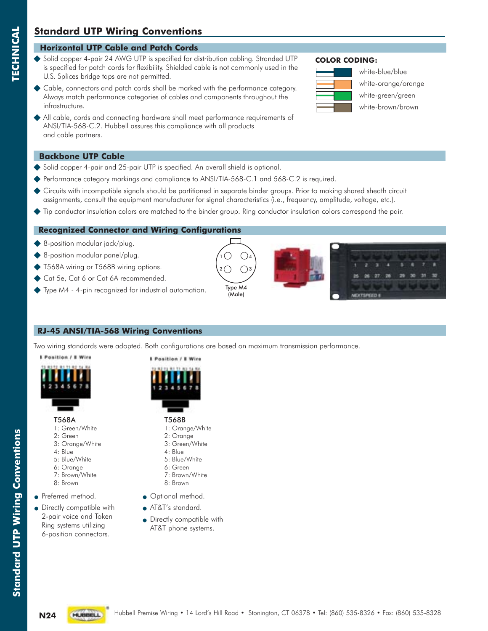### **Standard UTP Wiring Conventions**

### **Horizontal UTP Cable and Patch Cords**

- ◆ Solid copper 4-pair 24 AWG UTP is specified for distribution cabling. Stranded UTP is specified for patch cords for flexibility. Shielded cable is not commonly used in the U.S. Splices bridge taps are not permitted.
- Cable, connectors and patch cords shall be marked with the performance category. Always match performance categories of cables and components throughout the infrastructure.
- All cable, cords and connecting hardware shall meet performance requirements of ANSI/TIA-568-C.2. Hubbell assures this compliance with all products and cable partners.

### **Backbone UTP Cable**

**TECHNICAL**

**TECHNICAL** 

- Solid copper 4-pair and 25-pair UTP is specified. An overall shield is optional.
- Performance category markings and compliance to ANSI/TIA-568-C.1 and 568-C.2 is required.
- Circuits with incompatible signals should be partitioned in separate binder groups. Prior to making shared sheath circuit assignments, consult the equipment manufacturer for signal characteristics (i.e., frequency, amplitude, voltage, etc.).
- Tip conductor insulation colors are matched to the binder group. Ring conductor insulation colors correspond the pair.

### **Recognized Connector and Wiring Configurations**

- ◆ 8-position modular jack/plug.
- 8-position modular panel/plug.
- T568A wiring or T568B wiring options.
- Cat 5e, Cat 6 or Cat 6A recommended.
- Type M4 4-pin recognized for industrial automation.

### **RJ-45 ANSI/TIA-568 Wiring Conventions**

Two wiring standards were adopted. Both configurations are based on maximum transmission performance.

T568A 1: Green/White 2: Green 3: Orange/White

**8 Position / 8 Wire** 

• Preferred method. • Directly compatible with 2-pair voice and Token Ring systems utilizing 6-position connectors.

4: Blue 5: Blue/White 6: Orange 7: Brown/White 8: Brown



**I** Position / I Wire

- T568B 1: Orange/White 2: Orange
	- 3: Green/White
	- 4: Blue
	- 5: Blue/White
	- 6: Green 7: Brown/White
	- 8: Brown
- Optional method.
- AT&T's standard.
- Directly compatible with AT&T phone systems.

#### **COLOR CODING:**



 white-blue/blue white-orange/orange white-green/green white-brown/brown









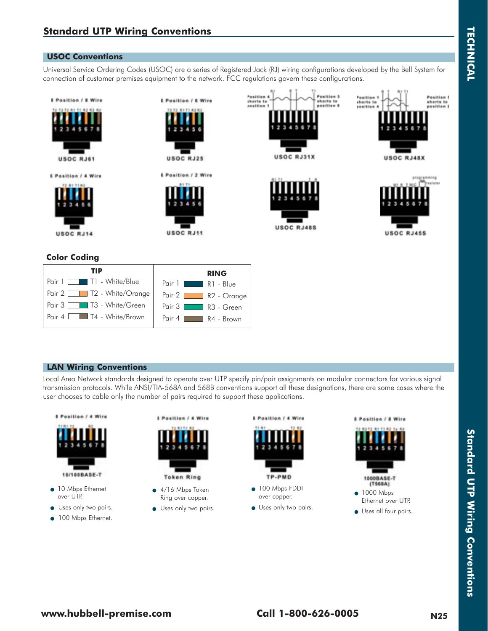#### **USOC Conventions**

Universal Service Ordering Codes (USOC) are a series of Registered Jack (RJ) wiring configurations developed by the Bell System for connection of customer premises equipment to the network. FCC regulations govern these configurations.



| TIP                       | <b>RING</b>               |
|---------------------------|---------------------------|
| Pair 1 1 T1 - White/Blue  | Pair $1$ I<br>$R1 - Blue$ |
| Pair 2 12 - White/Orange  | Pair 2 R2 - Orange        |
| Pair 3 1 T3 - White/Green | Pair 3 R3 - Green         |
| Pair 4 14 - White/Brown   | Pair $4$<br>$R4 - Brown$  |

#### **LAN Wiring Conventions**

Local Area Network standards designed to operate over UTP specify pin/pair assignments on modular connectors for various signal transmission protocols. While ANSI/TIA-568A and 568B conventions support all these designations, there are some cases where the user chooses to cable only the number of pairs required to support these applications.



- 10 Mbps Ethernet over UTP.
- **Uses only two pairs.**
- -100 Mbps Ethernet.



- - 4/16 Mbps Token Ring over copper.
- Uses only two pairs.



- over copper.
- **Uses only two pairs.**

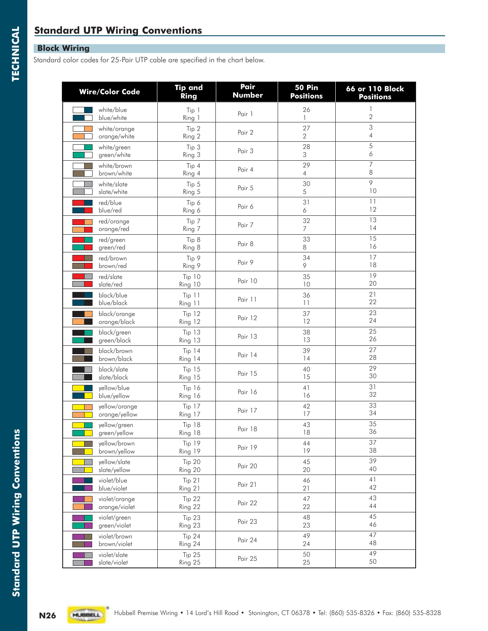### **Standard UTP Wiring Conventions**

### **Block Wiring**

Standard color codes for 25-Pair UTP cable are specified in the chart below.

| <b>Wire/Color Code</b> | <b>Tip and</b> | Pair    | <b>50 Pin</b>    | 66 or 110 Block  |
|------------------------|----------------|---------|------------------|------------------|
|                        | Ring           | Number  | <b>Positions</b> | <b>Positions</b> |
| white/blue             | Tip 1          | Pair 1  | 26               | 1                |
| blue/white             | Ring 1         |         | $\mathbf{1}$     | $\overline{2}$   |
| white/orange           | Tip 2          | Pair 2  | 27               | 3                |
| orange/white           | Ring 2         |         | $\mathbf{2}$     | 4                |
| white/green            | Tip 3          | Pair 3  | 28               | 5                |
| green/white            | Ring 3         |         | 3                | 6                |
| white/brown            | Tip 4          | Pair 4  | 29               | $\overline{7}$   |
| brown/white            | Ring 4         |         | $\overline{4}$   | 8                |
| white/slate            | Tip 5          | Pair 5  | 30               | 9                |
| slate/white            | Ring 5         |         | 5                | 10               |
| red/blue               | Tip 6          | Pair 6  | 31               | 11               |
| blue/red               | Ring 6         |         | 6                | 12               |
| red/orange             | Tip 7          | Pair 7  | 32               | 13               |
| orange/red             | Ring 7         |         | $\overline{7}$   | 14               |
| red/green              | Tip 8          | Pair 8  | 33               | 15               |
| green/red              | Ring 8         |         | 8                | 16               |
| red/brown              | Tip 9          | Pair 9  | 34               | 17               |
| brown/red              | Ring 9         |         | 9                | 18               |
| red/slate              | Tip 10         | Pair 10 | 35               | 19               |
| slate/red              | Ring 10        |         | 10               | 20               |
| black/blue             | Tip 11         | Pair 11 | 36               | 21               |
| blue/black             | Ring 11        |         | 11               | 22               |
| black/orange           | Tip 12         | Pair 12 | 37               | 23               |
| orange/black           | Ring 12        |         | 12               | 24               |
| black/green            | <b>Tip 13</b>  | Pair 13 | 38               | 25               |
| green/black            | Ring 13        |         | 13               | 26               |
| black/brown            | <b>Tip 14</b>  | Pair 14 | 39               | 27               |
| brown/black            | Ring 14        |         | 14               | 28               |
| black/slate            | <b>Tip 15</b>  | Pair 15 | 40               | 29               |
| slate/black            | Ring 15        |         | 15               | 30               |
| yellow/blue            | <b>Tip 16</b>  | Pair 16 | 41               | 31               |
| blue/yellow            | Ring 16        |         | 16               | 32               |
| yellow/orange          | Tip 17         | Pair 17 | 42               | 33               |
| orange/yellow          | Ring 17        |         | 17               | 34               |
| yellow/green           | <b>Tip 18</b>  | Pair 18 | 43               | 35               |
| green/yellow           | Ring 18        |         | 18               | 36               |
| yellow/brown           | Tip 19         | Pair 19 | 44               | 37               |
| brown/yellow           | Ring 19        |         | 19               | 38               |
| yellow/slate           | Tip 20         | Pair 20 | 45               | 39               |
| slate/yellow           | Ring 20        |         | 20               | 40               |
| violet/blue            | Tip 21         | Pair 21 | 46               | 41               |
| blue/violet            | Ring 21        |         | 21               | 42               |
| violet/orange          | Tip 22         | Pair 22 | 47               | 43               |
| orange/violet          | Ring 22        |         | 22               | 44               |
| violet/green           | Tip 23         | Pair 23 | 48               | 45               |
| green/violet           | Ring 23        |         | 23               | 46               |
| violet/brown           | Tip 24         | Pair 24 | 49               | 47               |
| brown/violet           | Ring 24        |         | 24               | 48               |
| violet/slate           | Tip 25         | Pair 25 | 50               | 49               |
| slate/violet           | Ring 25        |         | 25               | 50               |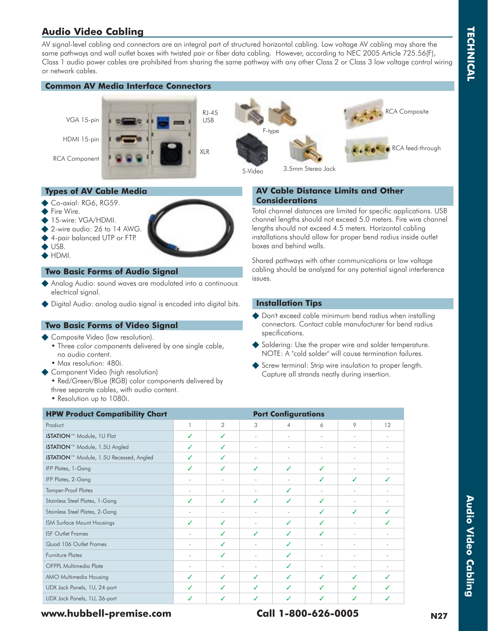### **Audio Video Cabling**

AV signal-level cabling and connectors are an integral part of structured horizontal cabling. Low voltage AV cabling may share the same pathways and wall outlet boxes with twisted pair or fiber data cabling. However, according to NEC 2005 Article 725.56(F), Class 1 audio power cables are prohibited from sharing the same pathway with any other Class 2 or Class 3 low voltage control wiring or network cables.

### **Common AV Media Interface Connectors**

VGA 15-pin

HDMI 15-pin

RCA Component







- Co-axial: RG6, RG59.
- Fire Wire.
- 15-wire: VGA/HDMI.
- 2-wire audio: 26 to 14 AWG.
- ◆ 4-pair balanced UTP or FTP.
- USB.
- $\blacklozenge$  HDMI.

#### **Two Basic Forms of Audio Signal**

- Analog Audio: sound waves are modulated into a continuous electrical signal.
- ◆ Digital Audio: analog audio signal is encoded into digital bits.

#### **Two Basic Forms of Video Signal**

- Composite Video (low resolution).
	- Three color components delivered by one single cable, no audio content.
	- Max resolution: 480i.
- ◆ Component Video (high resolution)
	- Red/Green/Blue (RGB) color components delivered by three separate cables, with audio content.
	- Resolution up to 1080i.

### **AV Cable Distance Limits and Other Considerations**

Total channel distances are limited for specific applications. USB channel lengths should not exceed 5.0 meters. Fire wire channel lengths should not exceed 4.5 meters. Horizontal cabling installations should allow for proper bend radius inside outlet boxes and behind walls.

Shared pathways with other communications or low voltage cabling should be analyzed for any potential signal interference issues.

#### **Installation Tips**

- ◆ Don't exceed cable minimum bend radius when installing connectors. Contact cable manufacturer for bend radius specifications.
- Soldering: Use the proper wire and solder temperature. NOTE: A "cold solder" will cause termination failures.
- Screw terminal: Strip wire insulation to proper length. Capture all strands neatly during insertion.

| <b>HPW Product Compatibility Chart</b>  |                          |                | <b>Port Configurations</b> |                          |                          |                          |        |
|-----------------------------------------|--------------------------|----------------|----------------------------|--------------------------|--------------------------|--------------------------|--------|
| Product                                 |                          | $\overline{2}$ | 3                          | 4                        | 6                        | 9                        | 12     |
| iSTATION™ Module, 1U Flat               | ✓                        | ✓              | ٠                          | $\overline{\phantom{a}}$ | $\overline{\phantom{a}}$ | ٠                        |        |
| iSTATION™ Module, 1.5U Angled           | ✓                        | ✓              | ٠                          | $\overline{\phantom{a}}$ | $\overline{\phantom{a}}$ | $\overline{\phantom{a}}$ | $\sim$ |
| iSTATION™ Module, 1.5U Recessed, Angled | ✓                        | ✓              | ٠                          | $\sim$                   | $\overline{\phantom{a}}$ | ٠                        | ×      |
| IFP Plates, 1-Gang                      | ✓                        | ✓              | ✓                          | ✓                        | ✓                        | ÷                        |        |
| IFP Plates, 2-Gang                      | $\sim$                   | $\sim$         | ٠                          | $\sim$                   | ✓                        | ✓                        | ✓      |
| <b>Tamper-Proof Plates</b>              | ٠                        | $\sim$         | ٠                          | ✓                        | ٠                        | ٠                        |        |
| Stainless Steel Plates, 1-Gang          | ✓                        | ✓              | ✓                          | ✓                        | ✓                        | ٠                        |        |
| Stainless Steel Plates, 2-Gang          | ٠                        | $\sim$         |                            |                          | ✓                        | ✓                        |        |
| ISM Surface Mount Housings              | ✓                        | ✓              | ۰                          | ✓                        | ✓                        | $\sim$                   |        |
| <b>ISF Outlet Frames</b>                | ٠                        | ✓              | ✓                          | ✓                        | ✓                        | $\sim$                   |        |
| Quad 106 Outlet Frames                  | $\overline{\phantom{a}}$ | ✓              | ٠                          | ✓                        | $\sim$                   | $\overline{\phantom{a}}$ | $\sim$ |
| Furniture Plates                        | $\sim$                   | ✓              | ٠                          | ✓                        | $\sim$                   | $\sim$                   | ×.     |
| <b>OFPPL Multimedia Plate</b>           | ٠                        | $\sim$         |                            | ✓                        | ٠                        | ٠                        |        |
| AMO Multimedia Housing                  | ✓                        | ✓              | ✓                          | ✓                        | ✓                        | ✓                        | J      |
| UDX Jack Panels, 1U, 24-port            | ✓                        | ✓              | ✓                          | ✓                        | ✓                        | ✓                        |        |
| UDX Jack Panels, 1U, 36-port            | ✓                        |                |                            |                          | ✓                        |                          |        |

### **www.hubbell-premise.com Call 1-800-626-0005 N27**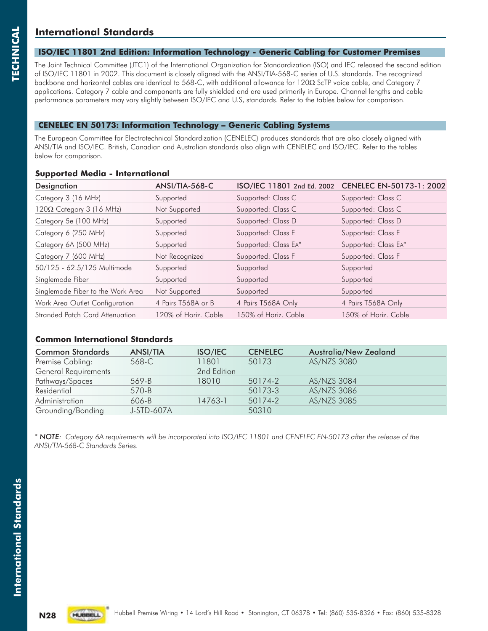### **International Standards**

#### **ISO/IEC 11801 2nd Edition: Information Technology - Generic Cabling for Customer Premises**

The Joint Technical Committee (JTC1) of the International Organization for Standardization (ISO) and IEC released the second edition of ISO/IEC 11801 in 2002. This document is closely aligned with the ANSI/TIA-568-C series of U.S. standards. The recognized backbone and horizontal cables are identical to 568-C, with additional allowance for 120 $\Omega$  ScTP voice cable, and Category 7 applications. Category 7 cable and components are fully shielded and are used primarily in Europe. Channel lengths and cable performance parameters may vary slightly between ISO/IEC and U.S, standards. Refer to the tables below for comparison.

#### **CENELEC EN 50173: Information Technology – Generic Cabling Systems**

The European Committee for Electrotechnical Standardization (CENELEC) produces standards that are also closely aligned with ANSI/TIA and ISO/IEC. British, Canadian and Australian standards also align with CENELEC and ISO/IEC. Refer to the tables below for comparison.

#### **Supported Media - International**

| <b>Designation</b>                | ANSI/TIA-568-C       | ISO/IEC 11801 2nd Ed. 2002 | CENELEC EN-50173-1: 2002 |
|-----------------------------------|----------------------|----------------------------|--------------------------|
| Category 3 (16 MHz)               | Supported            | Supported: Class C         | Supported: Class C       |
| $120\Omega$ Category 3 (16 MHz)   | Not Supported        | Supported: Class C         | Supported: Class C       |
| Category 5e (100 MHz)             | Supported            | Supported: Class D         | Supported: Class D       |
| Category 6 (250 MHz)              | Supported            | Supported: Class E         | Supported: Class E       |
| Category 6A (500 MHz)             | Supported            | Supported: Class EA*       | Supported: Class EA*     |
| Category 7 (600 MHz)              | Not Recognized       | Supported: Class F         | Supported: Class F       |
| 50/125 - 62.5/125 Multimode       | Supported            | Supported                  | Supported                |
| Singlemode Fiber                  | Supported            | Supported                  | Supported                |
| Singlemode Fiber to the Work Area | Not Supported        | Supported                  | Supported                |
| Work Area Outlet Configuration    | 4 Pairs T568A or B   | 4 Pairs T568A Only         | 4 Pairs T568A Only       |
| Stranded Patch Cord Attenuation   | 120% of Horiz. Cable | 150% of Horiz. Cable       | 150% of Horiz. Cable     |

#### **Common International Standards**

| <b>Common Standards</b>     | <b>ANSI/TIA</b> | <b>ISO/IEC</b> | <b>CENELEC</b> | Australia/New Zealand |  |
|-----------------------------|-----------------|----------------|----------------|-----------------------|--|
| Premise Cabling:            | 568-C           | 11801          | 50173          | AS/NZS 3080           |  |
| <b>General Requirements</b> |                 | 2nd Edition    |                |                       |  |
| Pathways/Spaces             | 569-B           | 18010          | 50174-2        | AS/NZS 3084           |  |
| Residential                 | 570-B           |                | 50173-3        | AS/NZS 3086           |  |
| Administration              | $606 - B$       | 14763-1        | 50174-2        | AS/NZS 3085           |  |
| Grounding/Bonding           | J-STD-607A      |                | 50310          |                       |  |

*\* NOTE: Category 6A requirements will be incorporated into ISO/IEC 11801 and CENELEC EN-50173 after the release of the ANSI/TIA-568-C Standards Series.*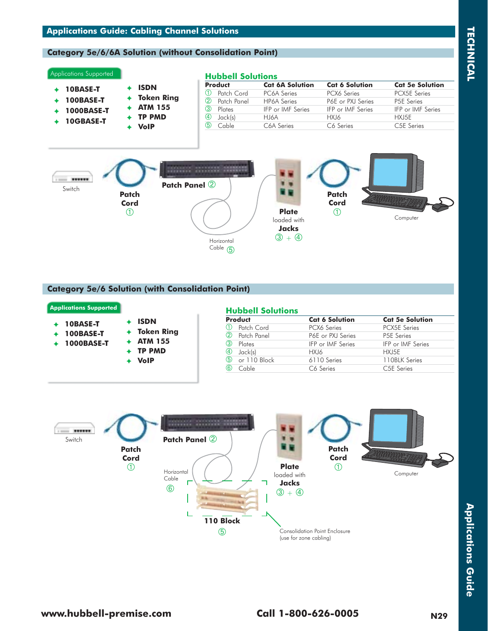### **Applications Guide: Cabling Channel Solutions**

#### **Category 5e/6/6A Solution (without Consolidation Point)**

#### Applications Supported

 **10BASE-T 100BASE-T 1000BASE-T 10GBASE-T ISDN Token Ring ATM 155 TP PMD VoIP**

#### **Hubbell Solutions**

| EIUNNGII JUIUIIUIIJ |                                 |                                 |                                 |
|---------------------|---------------------------------|---------------------------------|---------------------------------|
| <b>Product</b>      | <b>Cat 6A Solution</b>          | <b>Cat 6 Solution</b>           | <b>Cat 5e Solution</b>          |
| Patch Cord          | PC6A Series                     | PCX6 Series                     | <b>PCX5E</b> Series             |
| 2<br>Patch Panel    | <b>HP6A</b> Series              | P6E or PXJ Series               | <b>P5E</b> Series               |
| 3<br>Plates         | <b>IFP</b> or <b>IMF</b> Series | <b>IFP</b> or <b>IMF</b> Series | <b>IFP</b> or <b>IMF</b> Series |
| 4<br>Jack(s)        | HI6A                            | HXJ6                            | HXJ5E                           |
| க<br>Cable          | C6A Series                      | C6 Series                       | C <sub>5</sub> E Series         |



#### **Category 5e/6 Solution (with Consolidation Point)**

|                  |                   | <b>Product</b>      | <b>Cat 6 Solution</b>           | <b>Cat 5e Solution</b>          |
|------------------|-------------------|---------------------|---------------------------------|---------------------------------|
| 10BASE-T         | <b>ISDN</b>       |                     |                                 |                                 |
|                  |                   | Patch Cord          | PCX6 Series                     | <b>PCX5E Series</b>             |
| <b>100BASE-T</b> | <b>Token Ring</b> | Patch Panel<br>(2)  | P6E or PXJ Series               | P5E Series                      |
| 1000BASE-T       | <b>ATM 155</b>    | 3<br>Plates         | <b>IFP</b> or <b>IMF</b> Series | <b>IFP</b> or <b>IMF</b> Series |
|                  | <b>TP PMD</b>     | Jack(s)<br>(4)      | HXJ6                            | HXJ5E                           |
|                  | <b>VolP</b>       | (5)<br>or 110 Block | 6110 Series                     | 110BLK Series                   |
|                  |                   | (6)<br>Cable        | C6 Series                       | C <sub>5</sub> E Series         |

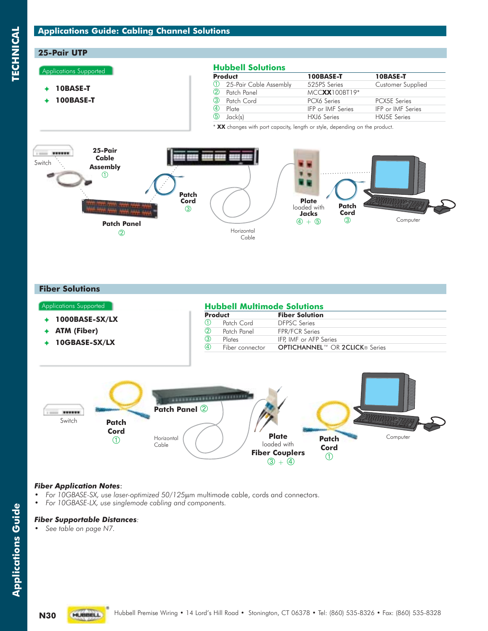### **Applications Guide: Cabling Channel Solutions**

### **25-Pair UTP**

#### Applications Supported

 **10BASE-T 100BASE-T**

#### **Hubbell Solutions**

|               | <b>Product</b>           | 100BASE-T                       | 10BASE-T                        |
|---------------|--------------------------|---------------------------------|---------------------------------|
|               | 1 25-Pair Cable Assembly | 525PS Series                    | Customer Supplied               |
| (2)           | Patch Panel              | MCCXX100BT19*                   |                                 |
| $\circled{3}$ | Patch Cord               | PCX6 Series                     | <b>PCX5E</b> Series             |
| $\circled{4}$ | Plate                    | <b>IFP</b> or <b>IMF</b> Series | <b>IFP</b> or <b>IMF</b> Series |
| $\circledS$   | Jack(s)                  | HXJ6 Series                     | HXJ5E Series                    |

\* **XX** changes with port capacity, length or style, depending on the product.



#### **Fiber Solutions**

#### **Hubbell Multimode Solutions Fiber Solution** 1 Patch Cord DFPSC Series<br>2 Patch Panel FPR/FCR Serie Patch Panel FPR/FCR Series<br>Plates IFP IMF or AFP  $\frac{1}{4}$ IFP, IMF or AFP Series Fiber connector OPTICHANNEL™ OR 2CLICK® Series Applications Supported **1000BASE-SX/LX ATM (Fiber) 10GBASE-SX/LX**



#### *Fiber Application Notes*:

- *For 10GBASE-SX, use laser-optimized 50/125*m multimode cable, cords and connectors.
- *For 10GBASE-LX, use singlemode cabling and components.*

#### *Fiber Supportable Distances:*

*• See table on page N7.*

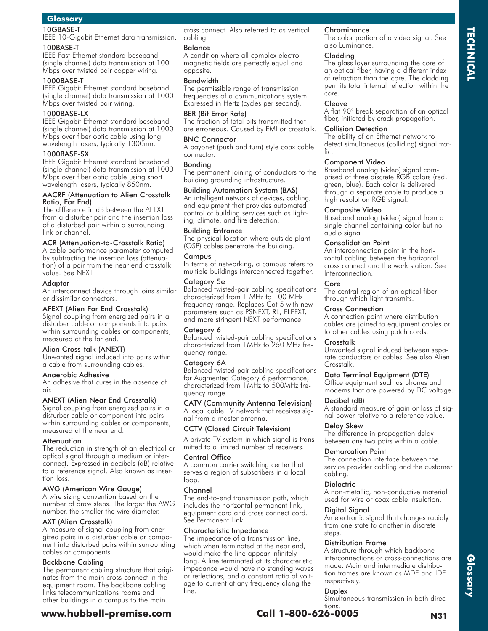#### 10GBASE-T

IEEE 10-Gigabit Ethernet data transmission. 100BASE-T

IEEE Fast Ethernet standard baseband (single channel) data transmission at 100 Mbps over twisted pair copper wiring.

#### 1000BASE-T

IEEE Gigabit Ethernet standard baseband (single channel) data transmission at 1000 Mbps over twisted pair wiring.

#### 1000BASE-LX

IEEE Gigabit Ethernet standard baseband (single channel) data transmission at 1000 Mbps over fiber optic cable using long wavelength lasers, typically 1300nm.

#### 1000BASE-SX

IEEE Gigabit Ethernet standard baseband (single channel) data transmission at 1000 Mbps over fiber optic cable using short wavelength lasers, typically 850nm.

#### AACRF (Attenuation to Alien Crosstalk Ratio, Far End)

The difference in dB between the AFEXT from a disturber pair and the insertion loss of a disturbed pair within a surrounding link or channel.

#### ACR (Attenuation-to-Crosstalk Ratio)

A cable performance parameter computed by subtracting the insertion loss (attenuation) of a pair from the near end crosstalk value. See NEXT.

#### Adapter

An interconnect device through joins similar or dissimilar connectors.

#### AFEXT (Alien Far End Crosstalk)

Signal coupling from energized pairs in a disturber cable or components into pairs within surrounding cables or components, measured at the far end.

#### Alien Cross-talk (ANEXT)

Unwanted signal induced into pairs within a cable from surrounding cables.

#### Anaerobic Adhesive

An adhesive that cures in the absence of air.

#### ANEXT (Alien Near End Crosstalk)

Signal coupling from energized pairs in a disturber cable or component into pairs within surrounding cables or components, measured at the near end.

#### Attenuation

The reduction in strength of an electrical or optical signal through a medium or interconnect. Expressed in decibels (dB) relative to a reference signal. Also known as insertion loss.

#### AWG (American Wire Gauge)

A wire sizing convention based on the number of draw steps. The larger the AWG number, the smaller the wire diameter.

#### AXT (Alien Crosstalk)

A measure of signal coupling from energized pairs in a disturber cable or component into disturbed pairs within surrounding cables or components.

#### Backbone Cabling

The permanent cabling structure that originates from the main cross connect in the equipment room. The backbone cabling links telecommunications rooms and other buildings in a campus to the main

cross connect. Also referred to as vertical cabling.

#### Balance

A condition where all complex electromagnetic fields are perfectly equal and opposite.

#### Bandwidth

The permissible range of transmission frequencies of a communications system. Expressed in Hertz (cycles per second).

#### BER (Bit Error Rate)

The fraction of total bits transmitted that are erroneous. Caused by EMI or crosstalk.

#### BNC Connector

A bayonet (push and turn) style coax cable connector.

#### Bonding

The permanent joining of conductors to the building grounding infrastructure.

#### Building Automation System (BAS)

An intelligent network of devices, cabling, and equipment that provides automated control of building services such as lighting, climate, and fire detection.

#### Building Entrance

The physical location where outside plant (OSP) cables penetrate the building.

#### Campus

In terms of networking, a campus refers to multiple buildings interconnected together.

#### Category 5e

Balanced twisted-pair cabling specifications characterized from 1 MHz to 100 MHz frequency range. Replaces Cat 5 with new parameters such as PSNEXT, RL, ELFEXT, and more stringent NEXT performance.

#### Category 6

Balanced twisted-pair cabling specifications characterized from 1MHz to 250 MHz frequency range.

#### Category 6A

Balanced twisted-pair cabling specifications for Augmented Category 6 performance, characterized from 1MHz to 500MHz frequency range.

CATV (Community Antenna Television) A local cable TV network that receives signal from a master antenna.

#### CCTV (Closed Circuit Television)

A private TV system in which signal is transmitted to a limited number of receivers.

#### Central Office

A common carrier switching center that serves a region of subscribers in a local loop.

#### Channel

The end-to-end transmission path, which includes the horizontal permanent link, equipment cord and cross connect cord. See Permanent Link.

#### Characteristic Impedance

The impedance of a transmission line, which when terminated at the near end, would make the line appear infinitely long. A line terminated at its characteristic impedance would have no standing waves or reflections, and a constant ratio of voltage to current at any frequency along the line.

**www.hubbell-premise.com Call 1-800-626-0005 N31**

#### **Chrominance**

The color portion of a video signal. See also Luminance.

#### Cladding

The glass layer surrounding the core of an optical fiber, having a different index of refraction than the core. The cladding permits total internal reflection within the core.

**TECHNICAL**

**TECHNICAL** 

#### Cleave

A flat 90° break separation of an optical fiber, initiated by crack propagation.

#### Collision Detection

The ability of an Ethernet network to detect simultaneous (colliding) signal traffic.

#### Component Video

Baseband analog (video) signal comprised of three discrete RGB colors (red, green, blue). Each color is delivered through a separate cable to produce a high resolution RGB signal.

#### Composite Video

Baseband analog (video) signal from a single channel containing color but no audio signal.

#### Consolidation Point

An interconnection point in the horizontal cabling between the horizontal cross connect and the work station. See Interconnection.

#### Core

The central region of an optical fiber through which light transmits.

#### Cross Connection

A connection point where distribution cables are joined to equipment cables or to other cables using patch cords.

#### Crosstalk

Unwanted signal induced between separate conductors or cables. See also Alien Crosstalk.

#### Data Terminal Equipment (DTE)

Office equipment such as phones and modems that are powered by DC voltage.

#### Decibel (dB)

A standard measure of gain or loss of signal power relative to a reference value.

#### Delay Skew

The difference in propagation delay between any two pairs within a cable.

#### Demarcation Point

The connection interface between the service provider cabling and the customer cabling.

#### **Dielectric**

A non-metallic, non-conductive material used for wire or coax cable insulation.

#### Digital Signal

An electronic signal that changes rapidly from one state to another in discrete steps.

#### Distribution Frame

A structure through which backbone interconnections or cross-connections are made. Main and intermediate distribution frames are known as MDF and IDF respectively.

**Glossary**

#### Duplex

Simultaneous transmission in both directions.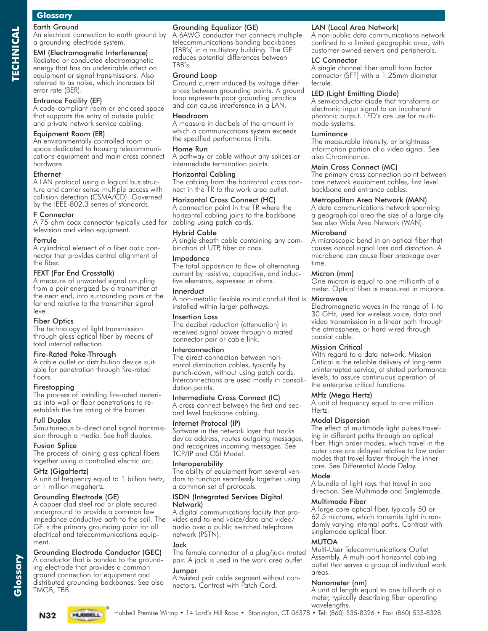**TECHNICAL**

**ECHNICAL** 

#### Earth Ground

An electrical connection to earth ground by a grounding electrode system.

#### EMI (Electromagnetic Interference)

Radiated or conducted electromagnetic energy that has an undesirable affect on equipment or signal transmissions. Also referred to as noise, which increases bit error rate (BER).

#### Entrance Facility (EF)

A code-compliant room or enclosed space that supports the entry of outside public and private network service cabling.

#### Equipment Room (ER)

An environmentally controlled room or space dedicated to housing telecommunications equipment and main cross connect hardware.

#### Ethernet

A LAN protocol using a logical bus structure and carrier sense multiple access with collision detection (CSMA/CD). Governed by the IEEE-802.3 series of standards.

#### F Connector

A 75 ohm coax connector typically used for cabling using patch cords. television and video equipment.

#### Ferrule

A cylindrical element of a fiber optic connector that provides central alignment of the fiber.

#### FEXT (Far End Crosstalk)

A measure of unwanted signal coupling from a pair energized by a transmitter at the near end, into surrounding pairs at the far end relative to the transmitter signal level.

#### Fiber Optics

The technology of light transmission through glass optical fiber by means of total internal reflection.

#### Fire-Rated Poke-Through

A cable outlet or distribution device suitable for penetration through fire-rated floors.

#### Firestopping

The process of installing fire-rated materials into wall or floor penetrations to reestablish the fire rating of the barrier.

#### Full Duplex

Simultaneous bi-directional signal transmission through a media. See half duplex.

#### Fusion Splice

The process of joining glass optical fibers together using a controlled electric arc.

#### GHz (GigaHertz)

A unit of frequency equal to 1 billion hertz, or 1 million megahertz.

#### Grounding Electrode (GE)

A copper clad steel rod or plate secured underground to provide a common low impedance conductive path to the soil. The GE is the primary grounding point for all electrical and telecommunications equipment.

#### Grounding Electrode Conductor (GEC)

A conductor that is bonded to the grounding electrode that provides a common ground connection for equipment and distributed grounding backbones. See also TMGB, TBB.

#### Grounding Equalizer (GE)

A 6AWG conductor that connects multiple telecommunications bonding backbones (TBB's) in a multistory building. The GE reduces potential differences between TBB's.

#### Ground Loop

Ground current induced by voltage differences between grounding points. A ground loop represents poor grounding practice and can cause interference in a LAN.

#### Headroom

A measure in decibels of the amount in which a communications system exceeds the specified performance limits.

#### Home Run

A pathway or cable without any splices or intermediate termination points.

#### Horizontal Cabling

The cabling from the horizontal cross connect in the TR to the work area outlet.

#### Horizontal Cross Connect (HC)

A connection point in the TR where the horizontal cabling joins to the backbone

#### Hybrid Cable

A single sheath cable containing any combination of UTP, fiber or coax.

#### Impedance

The total opposition to flow of alternating current by resistive, capacitive, and inductive elements, expressed in ohms.

#### Innerduct

A non-metallic flexible round conduit that is installed within larger pathways.

#### Insertion Loss

The decibel reduction (attenuation) in received signal power through a mated connector pair or cable link.

#### Interconnection

The direct connection between horizontal distribution cables, typically by punch-down, without using patch cords. Interconnections are used mostly in consolidation points.

#### Intermediate Cross Connect (IC)

A cross connect between the first and second level backbone cabling.

#### Internet Protocol (IP)

Software in the network layer that tracks device address, routes outgoing messages, and recognizes incoming messages. See TCP/IP and OSI Model.

#### **Interoperability**

The ability of equipment from several vendors to function seamlessly together using a common set of protocols.

#### ISDN (Integrated Services Digital Network)

A digital communications facility that provides end-to-end voice/data and video/ audio over a public switched telephone network (PSTN).

#### Jack

The female connector of a plug/jack mated pair. A jack is used in the work area outlet.

#### Jumper

A twisted pair cable segment without connectors. Contrast with Patch Cord.

#### LAN (Local Area Network)

A non-public data communications network confined to a limited geographic area, with customer-owned servers and peripherals.

#### LC Connector

A single channel fiber small form factor connector (SFF) with a 1.25mm diameter ferrule.

#### LED (Light Emitting Diode)

A semiconductor diode that transforms an electronic input signal to an incoherent photonic output. LED's are use for multimode systems.

#### Luminance

The measurable intensity, or brightness information portion of a video signal. See also Chrominance.

#### Main Cross Connect (MC)

The primary cross connection point between core network equipment cables, first level backbone and entrance cables.

#### Metropolitan Area Network (MAN)

A data communications network spanning a geographical area the size of a large city. See also Wide Area Network (WAN).

#### Microbend

A microscopic bend in an optical fiber that causes optical signal loss and distortion. A microbend can cause fiber breakage over time.

#### Micron (mm)

One micron is equal to one millionth of a meter. Optical fiber is measured in microns.

#### Microwave

Electromagnetic waves in the range of 1 to 30 GHz, used for wireless voice, data and video transmission in a linear path through the atmosphere, or hard-wired through coaxial cable.

#### Mission Critical

With regard to a data network, Mission Critical is the reliable delivery of long-term uninterrupted service, at stated performance levels, to assure continuous operation of the enterprise critical functions.

#### MHz (Mega Hertz)

A unit of frequency equal to one million Hertz.

#### Modal Dispersion

The effect of multimode light pulses traveling in different paths through an optical fiber. High order modes, which travel in the outer core are delayed relative to low order modes that travel faster through the inner core. See Differential Mode Delay.

#### Mode

A bundle of light rays that travel in one direction. See Multimode and Singlemode.

#### Multimode Fiber

A large core optical fiber, typically 50 or 62.5 microns, which transmits light in randomly varying internal paths. Contrast with singlemode optical fiber.

#### MUTOA

Multi-User Telecommunications Outlet Assembly. A multi-port horizontal cabling outlet that serves a group of individual work areas.

#### Nanometer (nm)

A unit of length equal to one billionth of a meter, typically describing fiber operating wavelengths.



**Glossary**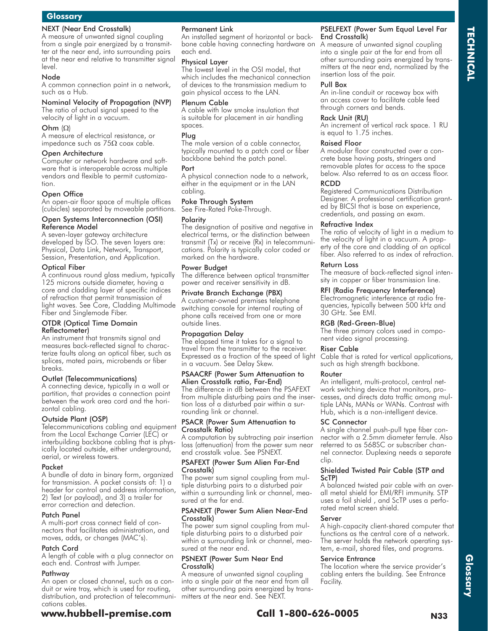### NEXT (Near End Crosstalk)

A measure of unwanted signal coupling from a single pair energized by a transmitter at the near end, into surrounding pairs at the near end relative to transmitter signal level.

#### Node

A common connection point in a network, such as a Hub.

#### Nominal Velocity of Propagation (NVP) The ratio of actual signal speed to the velocity of light in a vacuum.

Ohm  $(\Omega)$ 

A measure of electrical resistance, or impedance such as  $75\Omega$  coax cable.

#### Open Architecture

Computer or network hardware and software that is interoperable across multiple vendors and flexible to permit customization.

#### Open Office

An open-air floor space of multiple offices (cubicles) separated by moveable partitions.

#### Open Systems Interconnection (OSI) Reference Model

A seven-layer gateway architecture developed by ISO. The seven layers are: Physical, Data Link, Network, Transport, Session, Presentation, and Application.

#### Optical Fiber

A continuous round glass medium, typically 125 microns outside diameter, having a core and cladding layer of specific indices of refraction that permit transmission of light waves. See Core, Cladding Multimode Fiber and Singlemode Fiber.

#### OTDR (Optical Time Domain Reflectometer)

An instrument that transmits signal and measures back-reflected signal to characterize faults along an optical fiber, such as splices, mated pairs, microbends or fiber breaks.

#### Outlet (Telecommunications)

A connecting device, typically in a wall or partition, that provides a connection point between the work area cord and the horizontal cabling.

#### Outside Plant (OSP)

Telecommunications cabling and equipment from the Local Exchange Carrier (LEC) or interbuilding backbone cabling that is physically located outside, either underground, aerial, or wireless towers.

#### Packet

A bundle of data in binary form, organized for transmission. A packet consists of: 1) a header for control and address information, 2) Text (or payload), and 3) a trailer for error correction and detection.

#### Patch Panel

A multi-port cross connect field of connectors that facilitates administration, and moves, adds, or changes (MAC's).

#### Patch Cord

A length of cable with a plug connector on each end. Contrast with Jumper.

#### Pathway

An open or closed channel, such as a conduit or wire tray, which is used for routing, distribution, and protection of telecommunications cables.

### Physical Layer

The lowest level in the OSI model, that which includes the mechanical connection of devices to the transmission medium to gain physical access to the LAN.

An installed segment of horizontal or back-

#### Plenum Cable

Permanent Link

each end.

A cable with low smoke insulation that is suitable for placement in air handling spaces.

#### Plug

The male version of a cable connector, typically mounted to a patch cord or fiber backbone behind the patch panel.

#### Port

A physical connection node to a network, either in the equipment or in the LAN cabling.

#### Poke Through System

See Fire-Rated Poke-Through.

#### Polarity

The designation of positive and negative in electrical terms, or the distinction between transmit (Tx) or receive (Rx) in telecommunications. Polarity is typically color coded or marked on the hardware.

#### Power Budget

The difference between optical transmitter power and receiver sensitivity in dB.

#### Private Branch Exchange (PBX)

A customer-owned premises telephone switching console for internal routing of phone calls received from one or more outside lines.

#### Propagation Delay

The elapsed time it takes for a signal to travel from the transmitter to the receiver. in a vacuum. See Delay Skew.

#### PSAACRF (Power Sum Attenuation to Alien Crosstalk ratio, Far-End)

The difference in dB between the PSAFEXT from multiple disturbing pairs and the insertion loss of a disturbed pair within a surrounding link or channel.

#### PSACR (Power Sum Attenuation to Crosstalk Ratio)

A computation by subtracting pair insertion loss (attenuation) from the power sum near end crosstalk value. See PSNEXT.

#### PSAFEXT (Power Sum Alien Far-End Crosstalk)

The power sum signal coupling from multiple disturbing pairs to a disturbed pair within a surrounding link or channel, measured at the far end.

#### PSANEXT (Power Sum Alien Near-End Crosstalk)

The power sum signal coupling from multiple disturbing pairs to a disturbed pair within a surrounding link or channel, measured at the near end.

#### PSNEXT (Power Sum Near End Crosstalk)

A measure of unwanted signal coupling into a single pair at the near end from all other surrounding pairs energized by transmitters at the near end. See NEXT.

#### PSELFEXT (Power Sum Equal Level Far End Crosstalk)

bone cable having connecting hardware on A measure of unwanted signal coupling into a single pair at the far end from all other surrounding pairs energized by transmitters at the near end, normalized by the insertion loss of the pair.

**TECHNICAL**

**TECHNICAL** 

#### Pull Box

An in-line conduit or raceway box with an access cover to facilitate cable feed through corners and bends.

#### Rack Unit (RU)

An increment of vertical rack space. 1 RU is equal to 1.75 inches.

#### Raised Floor

A modular floor constructed over a concrete base having posts, stringers and removable plates for access to the space below. Also referred to as an access floor.

#### RCDD

Registered Communications Distribution Designer. A professional certification granted by BICSI that is base on experience, credentials, and passing an exam.

#### Refractive Index

The ratio of velocity of light in a medium to the velocity of light in a vacuum. A property of the core and cladding of an optical fiber. Also referred to as index of refraction.

#### Return Loss

The measure of back-reflected signal intensity in copper or fiber transmission line.

### RFI (Radio Frequency Interference)

Electromagnetic interference at radio frequencies, typically between 500 kHz and 30 GHz. See EMI.

#### RGB (Red-Green-Blue)

The three primary colors used in component video signal processing.

#### Riser Cable

Expressed as a fraction of the speed of light Cable that is rated for vertical applications, such as high strength backbone.

#### Router

An intelligent, multi-protocol, central network switching device that monitors, processes, and directs data traffic among multiple LANs, MANs or WANs. Contrast with Hub, which is a non-intelligent device.

#### SC Connector

A single channel push-pull type fiber connector with a 2.5mm diameter ferrule. Also referred to as 568SC or subscriber channel connector. Duplexing needs a separate clip.

#### Shielded Twisted Pair Cable (STP and ScTP)

A balanced twisted pair cable with an overall metal shield for EMI/RFI immunity. STP uses a foil shield , and ScTP uses a perforated metal screen shield.

#### Server

A high-capacity client-shared computer that functions as the central core of a network. The server holds the network operating system, e-mail, shared files, and programs.

#### Service Entrance

The location where the service provider's cabling enters the building. See Entrance Facility.

**www.hubbell-premise.com Call 1-800-626-0005 N33**